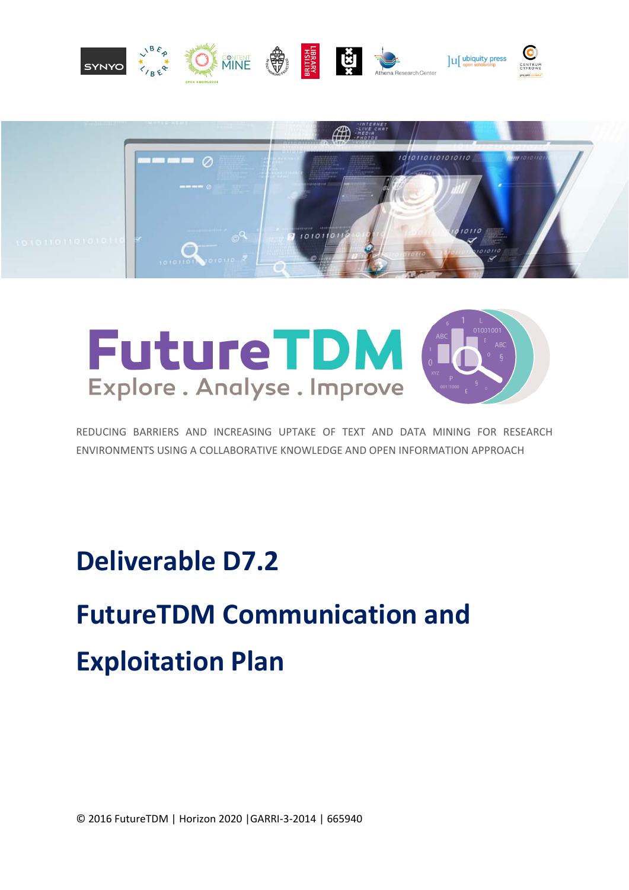



# **FutureTDM** Explore. Analyse. Improve

REDUCING BARRIERS AND INCREASING UPTAKE OF TEXT AND DATA MINING FOR RESEARCH ENVIRONMENTS USING A COLLABORATIVE KNOWLEDGE AND OPEN INFORMATION APPROACH

## **Deliverable D7.2**

# **FutureTDM Communication and Exploitation Plan**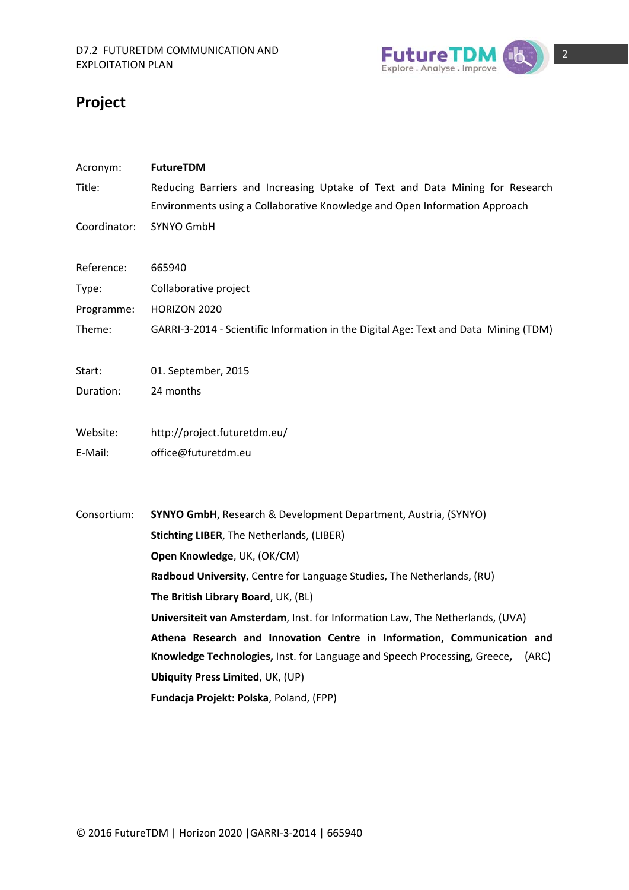

## **Project**

| Acronym:     | FutureTDM                                                                            |
|--------------|--------------------------------------------------------------------------------------|
| Title:       | Reducing Barriers and Increasing Uptake of Text and Data Mining for Research         |
|              | Environments using a Collaborative Knowledge and Open Information Approach           |
| Coordinator: | SYNYO GmbH                                                                           |
| Reference:   | 665940                                                                               |
| Type:        | Collaborative project                                                                |
| Programme:   | <b>HORIZON 2020</b>                                                                  |
| Theme:       | GARRI-3-2014 - Scientific Information in the Digital Age: Text and Data Mining (TDM) |
| Start:       | 01. September, 2015                                                                  |
| Duration:    | 24 months                                                                            |
| Website:     | http://project.futuretdm.eu/                                                         |
| E-Mail:      | office@futuretdm.eu                                                                  |
| Consortium:  | SYNYO GmbH, Research & Development Department, Austria, (SYNYO)                      |
|              | <b>Stichting LIBER, The Netherlands, (LIBER)</b>                                     |
|              | Open Knowledge, UK, (OK/CM)                                                          |
|              | Radboud University, Centre for Language Studies, The Netherlands, (RU)               |
|              | The British Library Board, UK, (BL)                                                  |
|              | Universiteit van Amsterdam, Inst. for Information Law, The Netherlands, (UVA)        |
|              | Athena Research and Innovation Centre in Information, Communication and              |
|              | Knowledge Technologies, Inst. for Language and Speech Processing, Greece,<br>(ARC)   |
|              | <b>Ubiquity Press Limited, UK, (UP)</b>                                              |
|              | Fundacja Projekt: Polska, Poland, (FPP)                                              |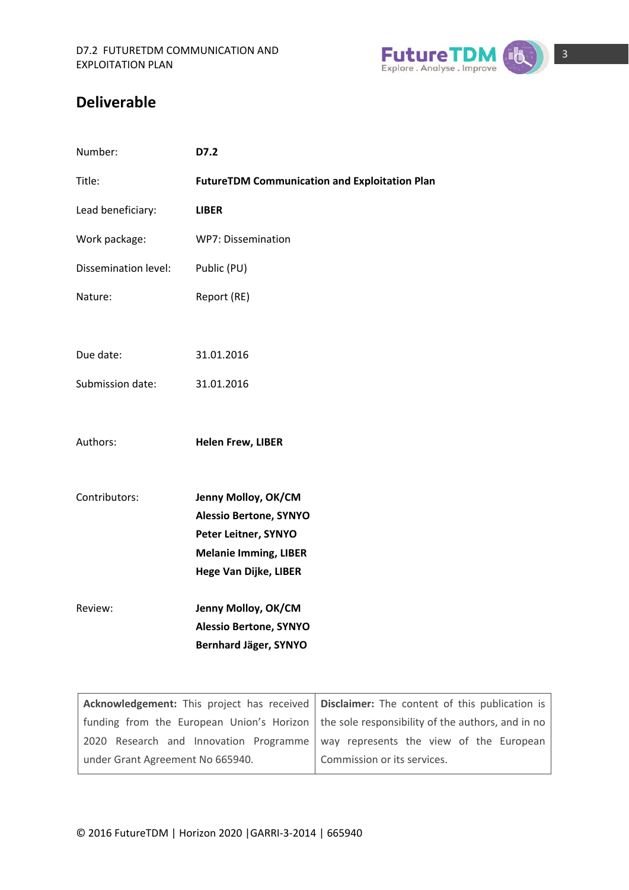

### **Deliverable**

| Number:              | D7.2                                                                                                                                  |                                                                                |
|----------------------|---------------------------------------------------------------------------------------------------------------------------------------|--------------------------------------------------------------------------------|
| Title:               |                                                                                                                                       | <b>FutureTDM Communication and Exploitation Plan</b>                           |
| Lead beneficiary:    | <b>LIBER</b>                                                                                                                          |                                                                                |
| Work package:        | WP7: Dissemination                                                                                                                    |                                                                                |
| Dissemination level: | Public (PU)                                                                                                                           |                                                                                |
| Nature:              | Report (RE)                                                                                                                           |                                                                                |
|                      |                                                                                                                                       |                                                                                |
| Due date:            | 31.01.2016                                                                                                                            |                                                                                |
| Submission date:     | 31.01.2016                                                                                                                            |                                                                                |
| Authors:             | <b>Helen Frew, LIBER</b>                                                                                                              |                                                                                |
| Contributors:        | Jenny Molloy, OK/CM<br><b>Alessio Bertone, SYNYO</b><br>Peter Leitner, SYNYO<br><b>Melanie Imming, LIBER</b><br>Hege Van Dijke, LIBER |                                                                                |
| Review:              | Jenny Molloy, OK/CM<br><b>Alessio Bertone, SYNYO</b><br>Bernhard Jäger, SYNYO                                                         |                                                                                |
|                      | Acknowledgement: This project has received                                                                                            | Disclaimer: The content of this                                                |
|                      |                                                                                                                                       | funding from the European Union's Horizon   the sole responsibility of the aut |

|                                  | <b>Acknowledgement:</b> This project has received   Disclaimer: The content of this publication is |  |  |
|----------------------------------|----------------------------------------------------------------------------------------------------|--|--|
|                                  | funding from the European Union's Horizon   the sole responsibility of the authors, and in no      |  |  |
|                                  | 2020 Research and Innovation Programme way represents the view of the European                     |  |  |
| under Grant Agreement No 665940. | Commission or its services.                                                                        |  |  |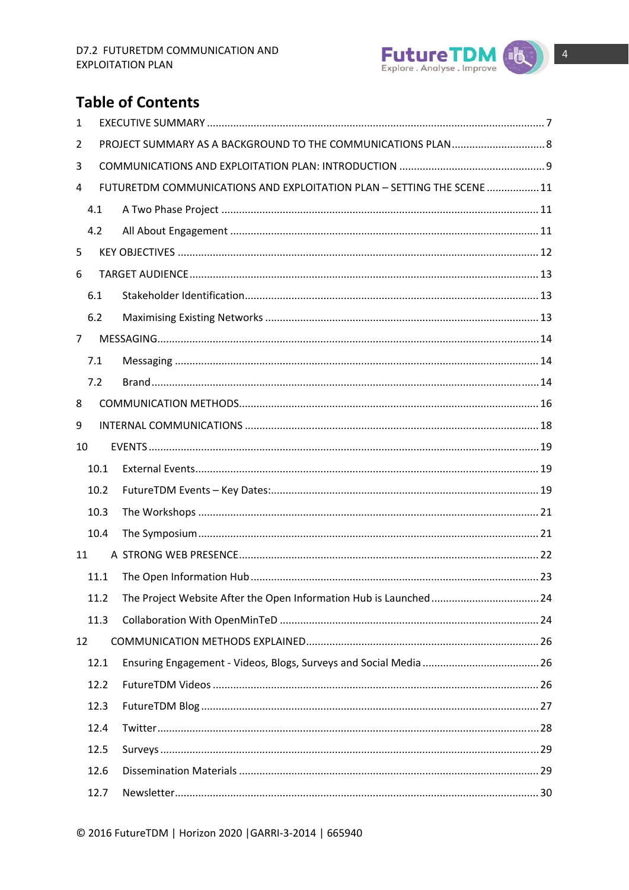

## **Table of Contents**

| 1  |      |                                                                        |  |
|----|------|------------------------------------------------------------------------|--|
| 2  |      |                                                                        |  |
| 3  |      |                                                                        |  |
| 4  |      | FUTURETDM COMMUNICATIONS AND EXPLOITATION PLAN - SETTING THE SCENE  11 |  |
|    | 4.1  |                                                                        |  |
|    | 4.2  |                                                                        |  |
| 5  |      |                                                                        |  |
| 6  |      |                                                                        |  |
|    | 6.1  |                                                                        |  |
|    | 6.2  |                                                                        |  |
| 7  |      |                                                                        |  |
|    | 7.1  |                                                                        |  |
|    | 7.2  |                                                                        |  |
| 8  |      |                                                                        |  |
| 9  |      |                                                                        |  |
| 10 |      |                                                                        |  |
|    | 10.1 |                                                                        |  |
|    | 10.2 |                                                                        |  |
|    | 10.3 |                                                                        |  |
|    | 10.4 |                                                                        |  |
| 11 |      |                                                                        |  |
|    | 11.1 |                                                                        |  |
|    | 11.2 |                                                                        |  |
|    | 11.3 |                                                                        |  |
| 12 |      |                                                                        |  |
|    | 12.1 |                                                                        |  |
|    | 12.2 |                                                                        |  |
|    | 12.3 |                                                                        |  |
|    | 12.4 |                                                                        |  |
|    | 12.5 |                                                                        |  |
|    | 12.6 |                                                                        |  |
|    | 12.7 |                                                                        |  |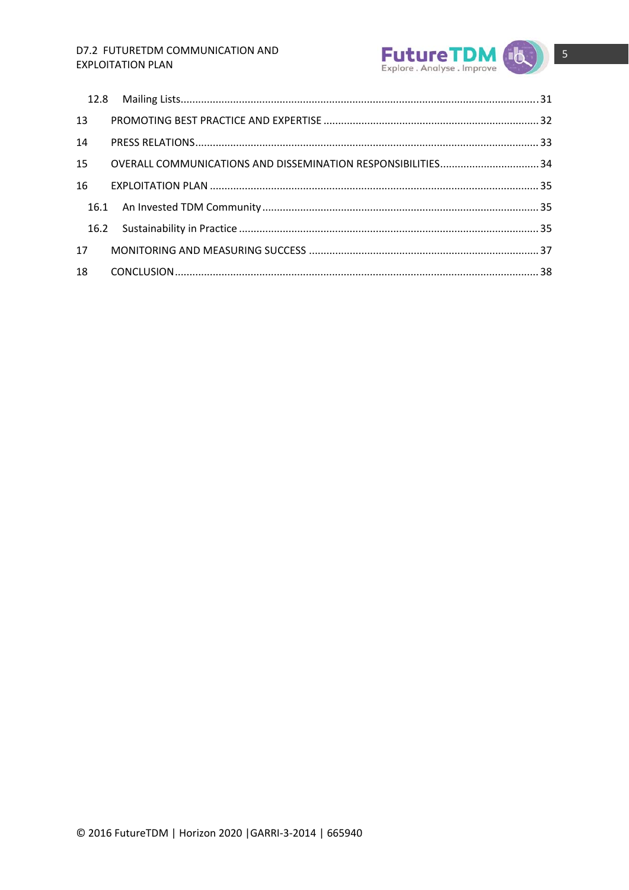### D7.2 FUTURETDM COMMUNICATION AND **EXPLOITATION PLAN**



| 13 |  |  |
|----|--|--|
| 14 |  |  |
| 15 |  |  |
| 16 |  |  |
|    |  |  |
|    |  |  |
| 17 |  |  |
| 18 |  |  |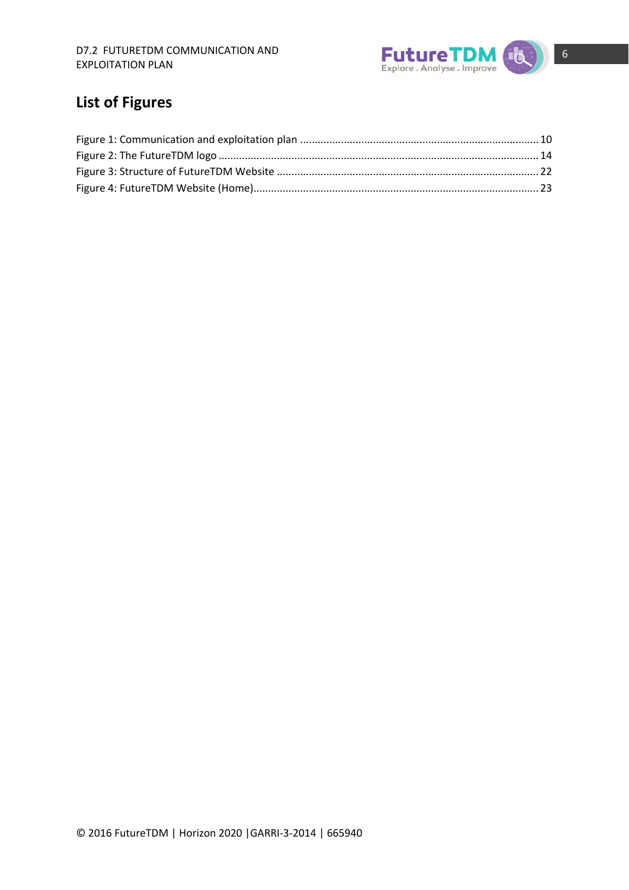

## **List of Figures**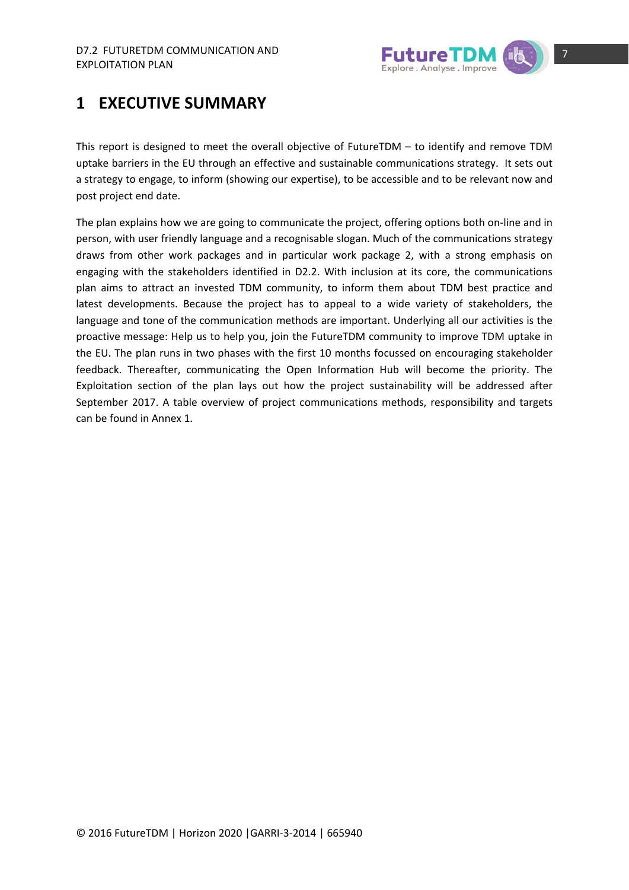

## **1 EXECUTIVE SUMMARY**

This report is designed to meet the overall objective of FutureTDM – to identify and remove TDM uptake barriers in the EU through an effective and sustainable communications strategy. It sets out a strategy to engage, to inform (showing our expertise), to be accessible and to be relevant now and post project end date.

The plan explains how we are going to communicate the project, offering options both on‐line and in person, with user friendly language and a recognisable slogan. Much of the communications strategy draws from other work packages and in particular work package 2, with a strong emphasis on engaging with the stakeholders identified in D2.2. With inclusion at its core, the communications plan aims to attract an invested TDM community, to inform them about TDM best practice and latest developments. Because the project has to appeal to a wide variety of stakeholders, the language and tone of the communication methods are important. Underlying all our activities is the proactive message: Help us to help you, join the FutureTDM community to improve TDM uptake in the EU. The plan runs in two phases with the first 10 months focussed on encouraging stakeholder feedback. Thereafter, communicating the Open Information Hub will become the priority. The Exploitation section of the plan lays out how the project sustainability will be addressed after September 2017. A table overview of project communications methods, responsibility and targets can be found in Annex 1.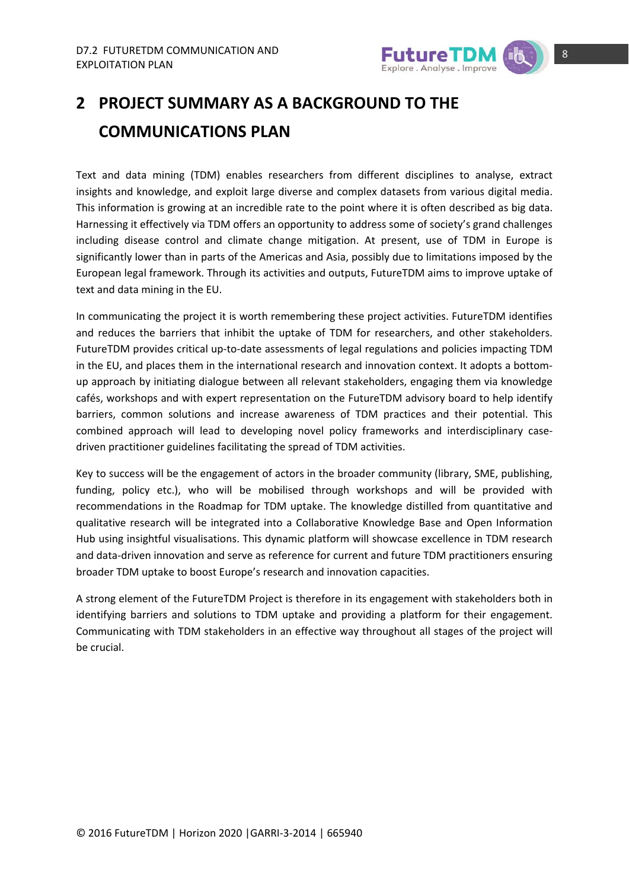

## **2 PROJECT SUMMARY AS A BACKGROUND TO THE COMMUNICATIONS PLAN**

Text and data mining (TDM) enables researchers from different disciplines to analyse, extract insights and knowledge, and exploit large diverse and complex datasets from various digital media. This information is growing at an incredible rate to the point where it is often described as big data. Harnessing it effectively via TDM offers an opportunity to address some of society's grand challenges including disease control and climate change mitigation. At present, use of TDM in Europe is significantly lower than in parts of the Americas and Asia, possibly due to limitations imposed by the European legal framework. Through its activities and outputs, FutureTDM aims to improve uptake of text and data mining in the EU.

In communicating the project it is worth remembering these project activities. FutureTDM identifies and reduces the barriers that inhibit the uptake of TDM for researchers, and other stakeholders. FutureTDM provides critical up-to-date assessments of legal regulations and policies impacting TDM in the EU, and places them in the international research and innovation context. It adopts a bottomup approach by initiating dialogue between all relevant stakeholders, engaging them via knowledge cafés, workshops and with expert representation on the FutureTDM advisory board to help identify barriers, common solutions and increase awareness of TDM practices and their potential. This combined approach will lead to developing novel policy frameworks and interdisciplinary case‐ driven practitioner guidelines facilitating the spread of TDM activities.

Key to success will be the engagement of actors in the broader community (library, SME, publishing, funding, policy etc.), who will be mobilised through workshops and will be provided with recommendations in the Roadmap for TDM uptake. The knowledge distilled from quantitative and qualitative research will be integrated into a Collaborative Knowledge Base and Open Information Hub using insightful visualisations. This dynamic platform will showcase excellence in TDM research and data-driven innovation and serve as reference for current and future TDM practitioners ensuring broader TDM uptake to boost Europe's research and innovation capacities.

A strong element of the FutureTDM Project is therefore in its engagement with stakeholders both in identifying barriers and solutions to TDM uptake and providing a platform for their engagement. Communicating with TDM stakeholders in an effective way throughout all stages of the project will be crucial.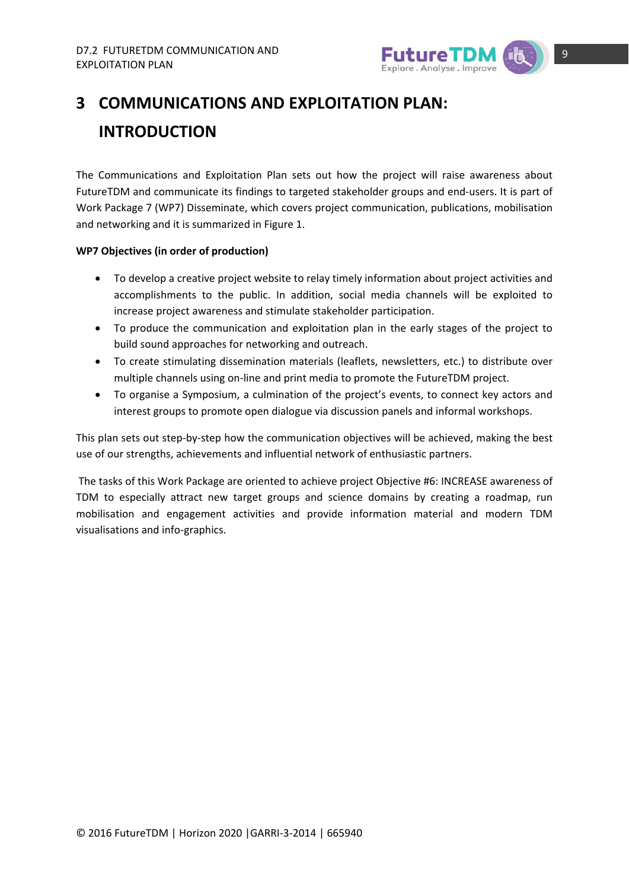

## **3 COMMUNICATIONS AND EXPLOITATION PLAN: INTRODUCTION**

The Communications and Exploitation Plan sets out how the project will raise awareness about FutureTDM and communicate its findings to targeted stakeholder groups and end‐users. It is part of Work Package 7 (WP7) Disseminate, which covers project communication, publications, mobilisation and networking and it is summarized in Figure 1.

### **WP7 Objectives (in order of production)**

- To develop a creative project website to relay timely information about project activities and accomplishments to the public. In addition, social media channels will be exploited to increase project awareness and stimulate stakeholder participation.
- To produce the communication and exploitation plan in the early stages of the project to build sound approaches for networking and outreach.
- To create stimulating dissemination materials (leaflets, newsletters, etc.) to distribute over multiple channels using on‐line and print media to promote the FutureTDM project.
- To organise a Symposium, a culmination of the project's events, to connect key actors and interest groups to promote open dialogue via discussion panels and informal workshops.

This plan sets out step-by-step how the communication objectives will be achieved, making the best use of our strengths, achievements and influential network of enthusiastic partners.

The tasks of this Work Package are oriented to achieve project Objective #6: INCREASE awareness of TDM to especially attract new target groups and science domains by creating a roadmap, run mobilisation and engagement activities and provide information material and modern TDM visualisations and info‐graphics.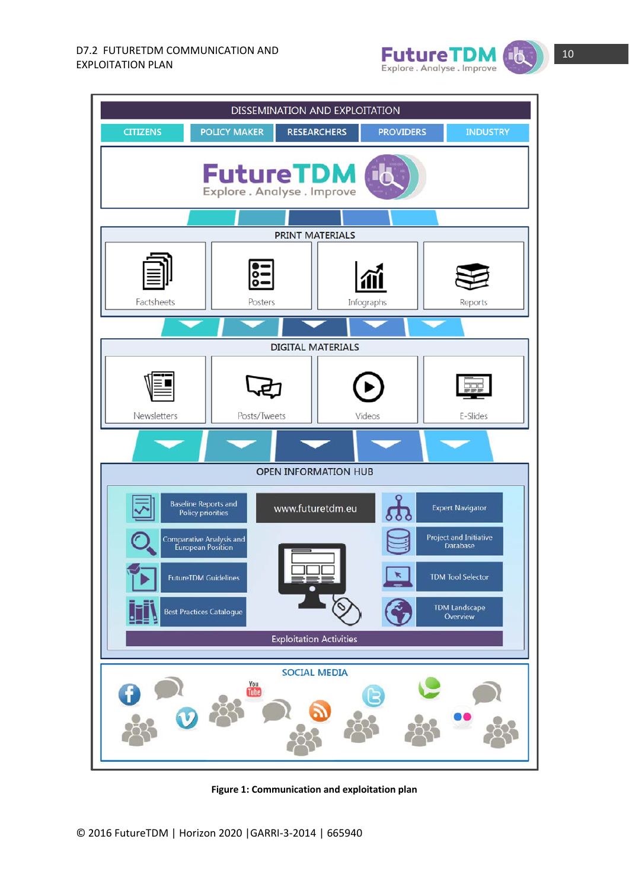





**Figure 1: Communication and exploitation plan**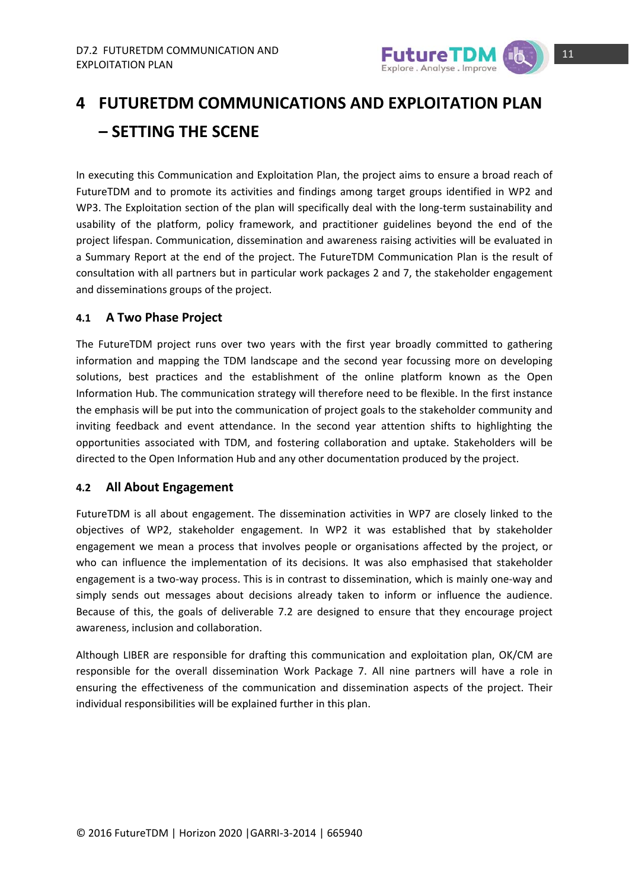

## **4 FUTURETDM COMMUNICATIONS AND EXPLOITATION PLAN – SETTING THE SCENE**

In executing this Communication and Exploitation Plan, the project aims to ensure a broad reach of FutureTDM and to promote its activities and findings among target groups identified in WP2 and WP3. The Exploitation section of the plan will specifically deal with the long-term sustainability and usability of the platform, policy framework, and practitioner guidelines beyond the end of the project lifespan. Communication, dissemination and awareness raising activities will be evaluated in a Summary Report at the end of the project. The FutureTDM Communication Plan is the result of consultation with all partners but in particular work packages 2 and 7, the stakeholder engagement and disseminations groups of the project.

### **4.1 A Two Phase Project**

The FutureTDM project runs over two years with the first year broadly committed to gathering information and mapping the TDM landscape and the second year focussing more on developing solutions, best practices and the establishment of the online platform known as the Open Information Hub. The communication strategy will therefore need to be flexible. In the first instance the emphasis will be put into the communication of project goals to the stakeholder community and inviting feedback and event attendance. In the second year attention shifts to highlighting the opportunities associated with TDM, and fostering collaboration and uptake. Stakeholders will be directed to the Open Information Hub and any other documentation produced by the project.

### **4.2 All About Engagement**

FutureTDM is all about engagement. The dissemination activities in WP7 are closely linked to the objectives of WP2, stakeholder engagement. In WP2 it was established that by stakeholder engagement we mean a process that involves people or organisations affected by the project, or who can influence the implementation of its decisions. It was also emphasised that stakeholder engagement is a two‐way process. This is in contrast to dissemination, which is mainly one‐way and simply sends out messages about decisions already taken to inform or influence the audience. Because of this, the goals of deliverable 7.2 are designed to ensure that they encourage project awareness, inclusion and collaboration.

Although LIBER are responsible for drafting this communication and exploitation plan, OK/CM are responsible for the overall dissemination Work Package 7. All nine partners will have a role in ensuring the effectiveness of the communication and dissemination aspects of the project. Their individual responsibilities will be explained further in this plan.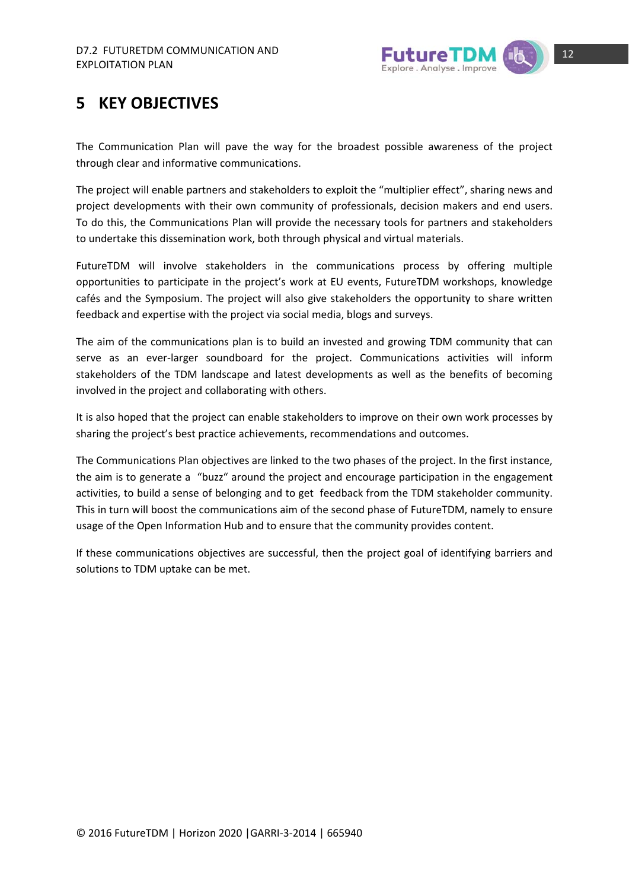

## **5 KEY OBJECTIVES**

The Communication Plan will pave the way for the broadest possible awareness of the project through clear and informative communications.

The project will enable partners and stakeholders to exploit the "multiplier effect", sharing news and project developments with their own community of professionals, decision makers and end users. To do this, the Communications Plan will provide the necessary tools for partners and stakeholders to undertake this dissemination work, both through physical and virtual materials.

FutureTDM will involve stakeholders in the communications process by offering multiple opportunities to participate in the project's work at EU events, FutureTDM workshops, knowledge cafés and the Symposium. The project will also give stakeholders the opportunity to share written feedback and expertise with the project via social media, blogs and surveys.

The aim of the communications plan is to build an invested and growing TDM community that can serve as an ever-larger soundboard for the project. Communications activities will inform stakeholders of the TDM landscape and latest developments as well as the benefits of becoming involved in the project and collaborating with others.

It is also hoped that the project can enable stakeholders to improve on their own work processes by sharing the project's best practice achievements, recommendations and outcomes.

The Communications Plan objectives are linked to the two phases of the project. In the first instance, the aim is to generate a "buzz" around the project and encourage participation in the engagement activities, to build a sense of belonging and to get feedback from the TDM stakeholder community. This in turn will boost the communications aim of the second phase of FutureTDM, namely to ensure usage of the Open Information Hub and to ensure that the community provides content.

If these communications objectives are successful, then the project goal of identifying barriers and solutions to TDM uptake can be met.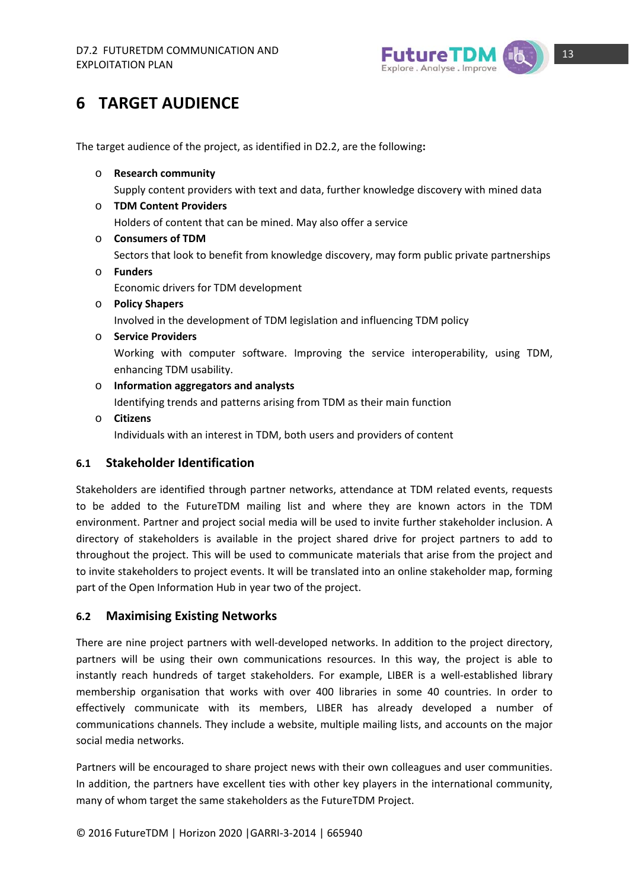

## **6 TARGET AUDIENCE**

The target audience of the project, as identified in D2.2, are the following**:**

- o **Research community** Supply content providers with text and data, further knowledge discovery with mined data
- o **TDM Content Providers** Holders of content that can be mined. May also offer a service
- o **Consumers of TDM** Sectors that look to benefit from knowledge discovery, may form public private partnerships o **Funders** Economic drivers for TDM development
- o **Policy Shapers** Involved in the development of TDM legislation and influencing TDM policy
- o **Service Providers** Working with computer software. Improving the service interoperability, using TDM, enhancing TDM usability.
- o **Information aggregators and analysts** Identifying trends and patterns arising from TDM as their main function
- o **Citizens** Individuals with an interest in TDM, both users and providers of content

### **6.1 Stakeholder Identification**

Stakeholders are identified through partner networks, attendance at TDM related events, requests to be added to the FutureTDM mailing list and where they are known actors in the TDM environment. Partner and project social media will be used to invite further stakeholder inclusion. A directory of stakeholders is available in the project shared drive for project partners to add to throughout the project. This will be used to communicate materials that arise from the project and to invite stakeholders to project events. It will be translated into an online stakeholder map, forming part of the Open Information Hub in year two of the project.

### **6.2 Maximising Existing Networks**

There are nine project partners with well-developed networks. In addition to the project directory, partners will be using their own communications resources. In this way, the project is able to instantly reach hundreds of target stakeholders. For example, LIBER is a well‐established library membership organisation that works with over 400 libraries in some 40 countries. In order to effectively communicate with its members, LIBER has already developed a number of communications channels. They include a website, multiple mailing lists, and accounts on the major social media networks.

Partners will be encouraged to share project news with their own colleagues and user communities. In addition, the partners have excellent ties with other key players in the international community, many of whom target the same stakeholders as the FutureTDM Project.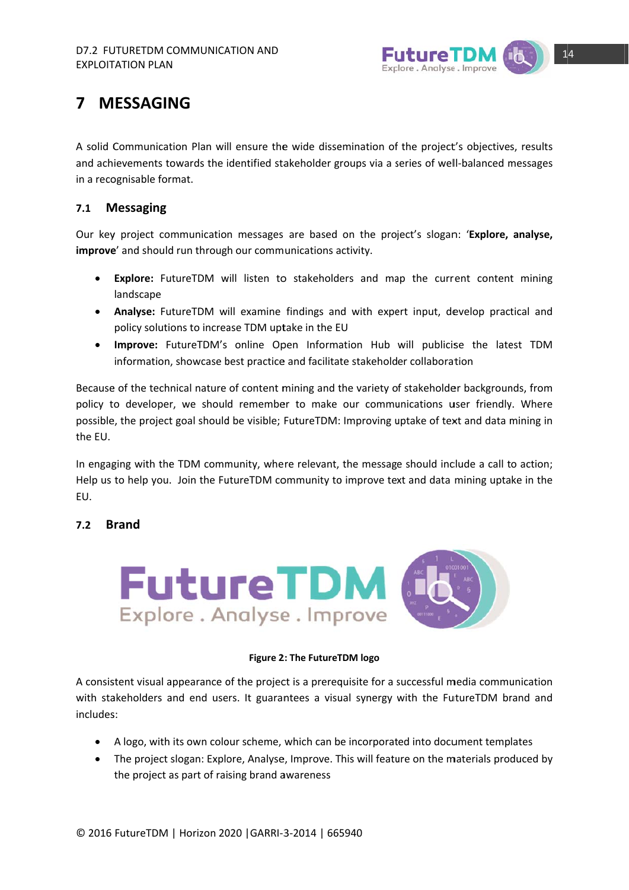

## **7 M ESSAGIN NG**

A solid Communication Plan will ensure the wide dissemination of the project's objectives, results and achievements towards the identified stakeholder groups via a series of well-balanced messages in a recognisable format.

#### **7.1 M Messaging**

Our key project communication messages are based on the project's slogan: 'Explore, analyse, improve' and should run through our communications activity.

- $\bullet$ Explore: FutureTDM will listen to stakeholders and map the current content mining landscape
- Analyse: FutureTDM will examine findings and with expert input, develop practical and policy solutions to increase TDM uptake in the EU
- . Improve: FutureTDM's online Open Information Hub will publicise the latest TDM information, showcase best practice and facilitate stakeholder collaboration

Because of the technical nature of content mining and the variety of stakeholder backgrounds, from policy to developer, we should remember to make our communications user friendly. Where possible, the project goal should be visible; FutureTDM: Improving uptake of text and data mining in the EU.

In engaging with the TDM community, where relevant, the message should include a call to action; Help us to help you. Join the FutureTDM community to improve text and data mining uptake in the EU.

#### **7.2 B Brand**



### **Figure 2 2: The FutureT TDM logo**

A consistent visual appearance of the project is a prerequisite for a successful media communication with stakeholders and end users. It guarantees a visual synergy with the FutureTDM brand and includes s:

- A logo, with its own colour scheme, which can be incorporated into document templates
- The project slogan: Explore, Analyse, Improve. This will feature on the materials produced by the project as part of raising brand awareness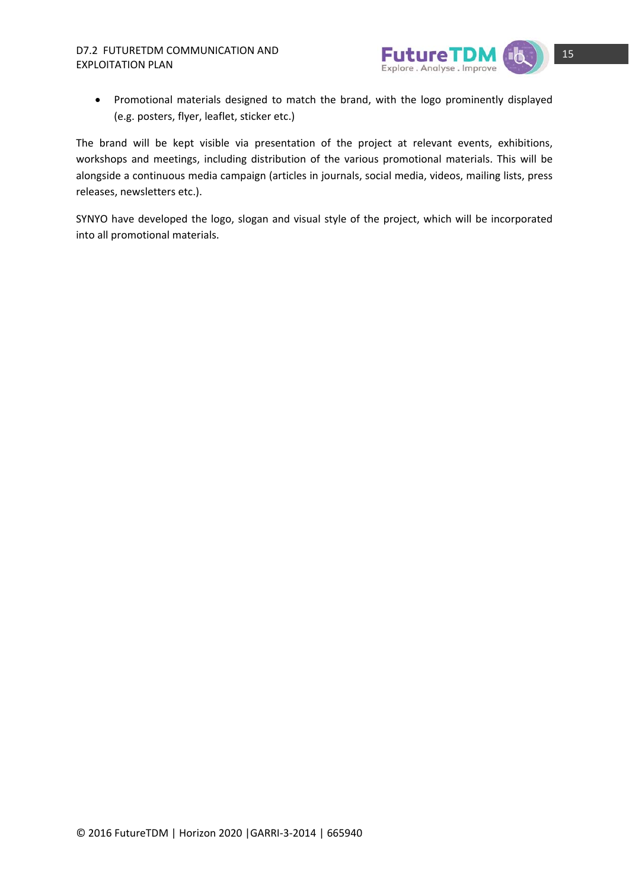

 Promotional materials designed to match the brand, with the logo prominently displayed (e.g. posters, flyer, leaflet, sticker etc.)

The brand will be kept visible via presentation of the project at relevant events, exhibitions, workshops and meetings, including distribution of the various promotional materials. This will be alongside a continuous media campaign (articles in journals, social media, videos, mailing lists, press releases, newsletters etc.).

SYNYO have developed the logo, slogan and visual style of the project, which will be incorporated into all promotional materials.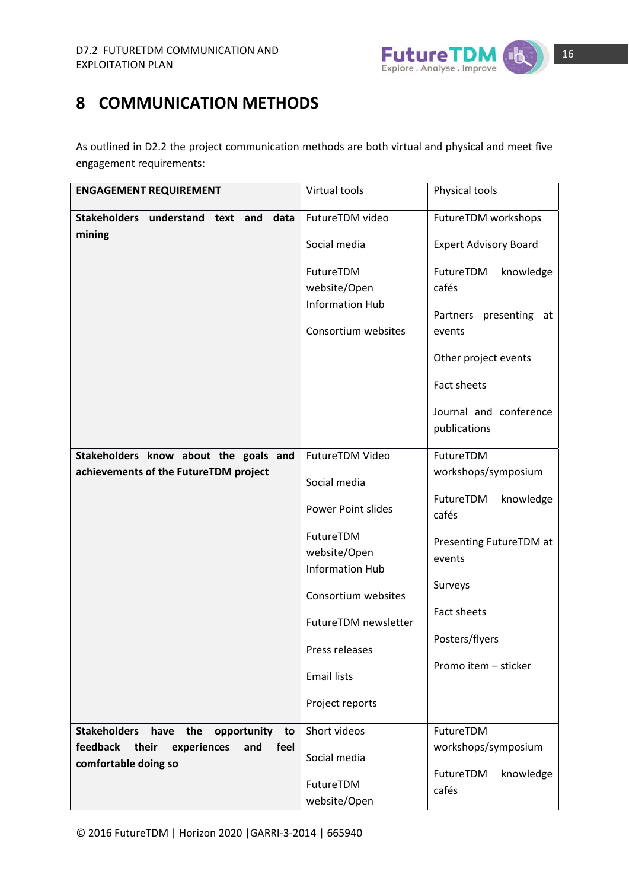

## **8 COMMUNICATION METHODS**

As outlined in D2.2 the project communication methods are both virtual and physical and meet five engagement requirements:

| <b>ENGAGEMENT REQUIREMENT</b>                                           | Virtual tools                                       | Physical tools                         |
|-------------------------------------------------------------------------|-----------------------------------------------------|----------------------------------------|
| <b>Stakeholders</b><br>understand<br>text<br>and<br>data                | FutureTDM video                                     | FutureTDM workshops                    |
| mining                                                                  | Social media                                        | <b>Expert Advisory Board</b>           |
|                                                                         | FutureTDM<br>website/Open<br><b>Information Hub</b> | FutureTDM<br>knowledge<br>cafés        |
|                                                                         | Consortium websites                                 | Partners presenting at<br>events       |
|                                                                         |                                                     | Other project events                   |
|                                                                         |                                                     | Fact sheets                            |
|                                                                         |                                                     | Journal and conference<br>publications |
| Stakeholders know about the goals and                                   | FutureTDM Video                                     | FutureTDM                              |
| achievements of the FutureTDM project                                   | Social media                                        | workshops/symposium                    |
|                                                                         | <b>Power Point slides</b>                           | FutureTDM<br>knowledge<br>cafés        |
|                                                                         | FutureTDM<br>website/Open<br><b>Information Hub</b> | Presenting FutureTDM at<br>events      |
|                                                                         | Consortium websites                                 | Surveys                                |
|                                                                         | FutureTDM newsletter                                | Fact sheets                            |
|                                                                         | Press releases                                      | Posters/flyers                         |
|                                                                         | <b>Email lists</b>                                  | Promo item - sticker                   |
|                                                                         | Project reports                                     |                                        |
| <b>Stakeholders</b><br>have<br>the<br>opportunity<br>to                 | Short videos                                        | FutureTDM                              |
| feedback<br>their<br>experiences<br>feel<br>and<br>comfortable doing so | Social media                                        | workshops/symposium                    |
|                                                                         | FutureTDM<br>website/Open                           | FutureTDM<br>knowledge<br>cafés        |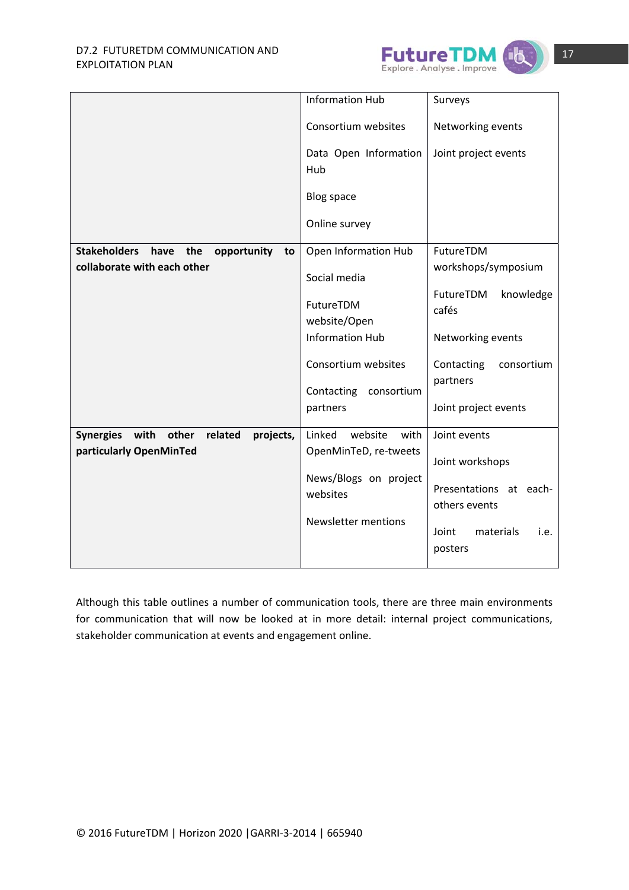

|                                                           | <b>Information Hub</b>                                      | Surveys                                                      |
|-----------------------------------------------------------|-------------------------------------------------------------|--------------------------------------------------------------|
|                                                           | Consortium websites                                         | Networking events                                            |
|                                                           | Data Open Information<br>Hub                                | Joint project events                                         |
|                                                           | <b>Blog space</b>                                           |                                                              |
|                                                           | Online survey                                               |                                                              |
| <b>Stakeholders</b><br>the<br>opportunity<br>have<br>to   | Open Information Hub                                        | FutureTDM                                                    |
| collaborate with each other                               | Social media                                                | workshops/symposium                                          |
|                                                           | FutureTDM<br>website/Open                                   | FutureTDM<br>knowledge<br>cafés                              |
|                                                           | <b>Information Hub</b>                                      | Networking events                                            |
|                                                           | Consortium websites<br>Contacting<br>consortium<br>partners | Contacting<br>consortium<br>partners<br>Joint project events |
|                                                           |                                                             |                                                              |
| <b>Synergies</b><br>with<br>other<br>related<br>projects, | Linked<br>website<br>with                                   | Joint events                                                 |
| particularly OpenMinTed                                   | OpenMinTeD, re-tweets                                       | Joint workshops                                              |
|                                                           | News/Blogs on project<br>websites                           | Presentations at each-<br>others events                      |
|                                                           | <b>Newsletter mentions</b><br>Joint<br>materials<br>posters |                                                              |

Although this table outlines a number of communication tools, there are three main environments for communication that will now be looked at in more detail: internal project communications, stakeholder communication at events and engagement online.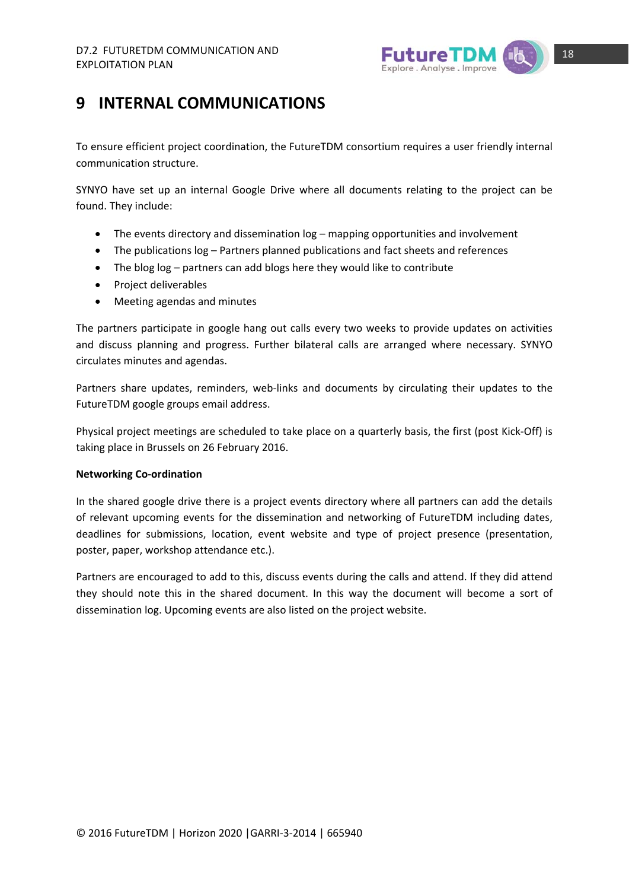

## **9 INTERNAL COMMUNICATIONS**

To ensure efficient project coordination, the FutureTDM consortium requires a user friendly internal communication structure.

SYNYO have set up an internal Google Drive where all documents relating to the project can be found. They include:

- The events directory and dissemination log mapping opportunities and involvement
- The publications log Partners planned publications and fact sheets and references
- The blog log partners can add blogs here they would like to contribute
- Project deliverables
- Meeting agendas and minutes

The partners participate in google hang out calls every two weeks to provide updates on activities and discuss planning and progress. Further bilateral calls are arranged where necessary. SYNYO circulates minutes and agendas.

Partners share updates, reminders, web-links and documents by circulating their updates to the FutureTDM google groups email address.

Physical project meetings are scheduled to take place on a quarterly basis, the first (post Kick‐Off) is taking place in Brussels on 26 February 2016.

### **Networking Co‐ordination**

In the shared google drive there is a project events directory where all partners can add the details of relevant upcoming events for the dissemination and networking of FutureTDM including dates, deadlines for submissions, location, event website and type of project presence (presentation, poster, paper, workshop attendance etc.).

Partners are encouraged to add to this, discuss events during the calls and attend. If they did attend they should note this in the shared document. In this way the document will become a sort of dissemination log. Upcoming events are also listed on the project website.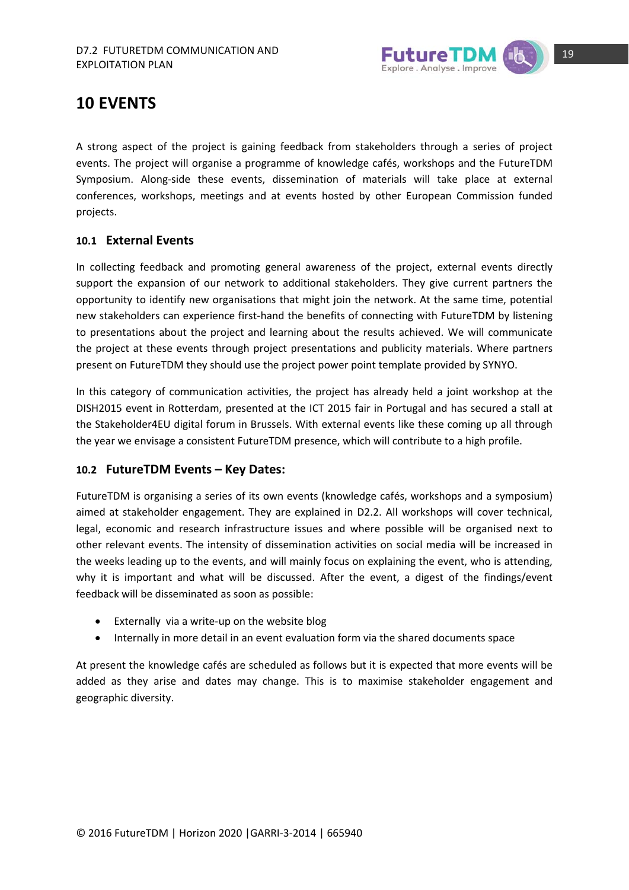

### **10 EVENTS**

A strong aspect of the project is gaining feedback from stakeholders through a series of project events. The project will organise a programme of knowledge cafés, workshops and the FutureTDM Symposium. Along‐side these events, dissemination of materials will take place at external conferences, workshops, meetings and at events hosted by other European Commission funded projects.

### **10.1 External Events**

In collecting feedback and promoting general awareness of the project, external events directly support the expansion of our network to additional stakeholders. They give current partners the opportunity to identify new organisations that might join the network. At the same time, potential new stakeholders can experience first-hand the benefits of connecting with FutureTDM by listening to presentations about the project and learning about the results achieved. We will communicate the project at these events through project presentations and publicity materials. Where partners present on FutureTDM they should use the project power point template provided by SYNYO.

In this category of communication activities, the project has already held a joint workshop at the DISH2015 event in Rotterdam, presented at the ICT 2015 fair in Portugal and has secured a stall at the Stakeholder4EU digital forum in Brussels. With external events like these coming up all through the year we envisage a consistent FutureTDM presence, which will contribute to a high profile.

### **10.2 FutureTDM Events – Key Dates:**

FutureTDM is organising a series of its own events (knowledge cafés, workshops and a symposium) aimed at stakeholder engagement. They are explained in D2.2. All workshops will cover technical, legal, economic and research infrastructure issues and where possible will be organised next to other relevant events. The intensity of dissemination activities on social media will be increased in the weeks leading up to the events, and will mainly focus on explaining the event, who is attending, why it is important and what will be discussed. After the event, a digest of the findings/event feedback will be disseminated as soon as possible:

- Externally via a write‐up on the website blog
- Internally in more detail in an event evaluation form via the shared documents space

At present the knowledge cafés are scheduled as follows but it is expected that more events will be added as they arise and dates may change. This is to maximise stakeholder engagement and geographic diversity.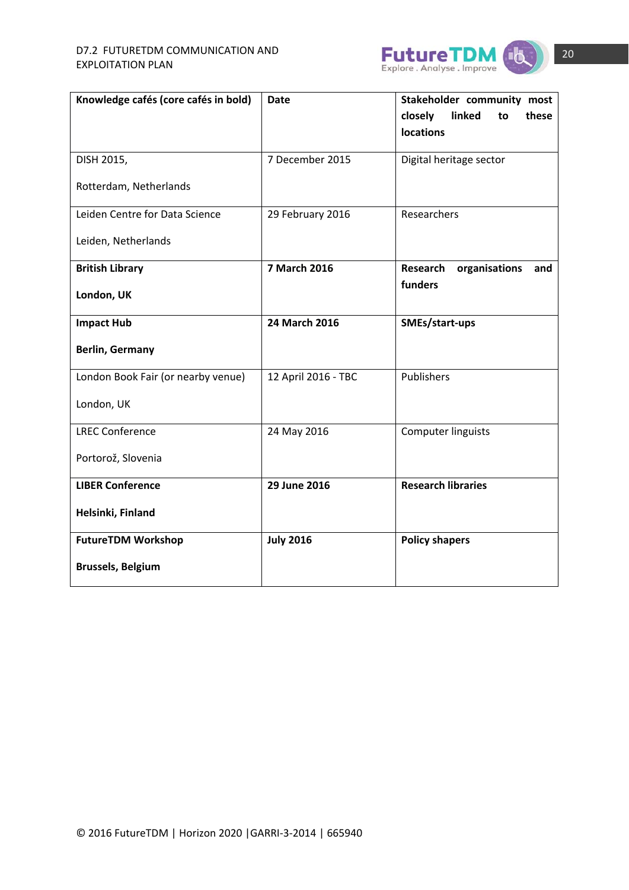

| Knowledge cafés (core cafés in bold) | <b>Date</b>         | Stakeholder community most       |  |  |
|--------------------------------------|---------------------|----------------------------------|--|--|
|                                      |                     | closely<br>linked<br>these<br>to |  |  |
|                                      |                     | <b>locations</b>                 |  |  |
|                                      |                     |                                  |  |  |
| DISH 2015,                           | 7 December 2015     | Digital heritage sector          |  |  |
| Rotterdam, Netherlands               |                     |                                  |  |  |
|                                      |                     |                                  |  |  |
| Leiden Centre for Data Science       | 29 February 2016    | Researchers                      |  |  |
|                                      |                     |                                  |  |  |
| Leiden, Netherlands                  |                     |                                  |  |  |
| <b>British Library</b>               | 7 March 2016        | Research<br>organisations<br>and |  |  |
|                                      |                     | funders                          |  |  |
| London, UK                           |                     |                                  |  |  |
|                                      |                     |                                  |  |  |
| <b>Impact Hub</b>                    | 24 March 2016       | SMEs/start-ups                   |  |  |
| <b>Berlin, Germany</b>               |                     |                                  |  |  |
|                                      |                     |                                  |  |  |
| London Book Fair (or nearby venue)   | 12 April 2016 - TBC | Publishers                       |  |  |
|                                      |                     |                                  |  |  |
| London, UK                           |                     |                                  |  |  |
| <b>LREC Conference</b>               | 24 May 2016         | Computer linguists               |  |  |
|                                      |                     |                                  |  |  |
| Portorož, Slovenia                   |                     |                                  |  |  |
|                                      |                     |                                  |  |  |
| <b>LIBER Conference</b>              | 29 June 2016        | <b>Research libraries</b>        |  |  |
|                                      |                     |                                  |  |  |
| Helsinki, Finland                    |                     |                                  |  |  |
| <b>FutureTDM Workshop</b>            | <b>July 2016</b>    | <b>Policy shapers</b>            |  |  |
|                                      |                     |                                  |  |  |
| <b>Brussels, Belgium</b>             |                     |                                  |  |  |
|                                      |                     |                                  |  |  |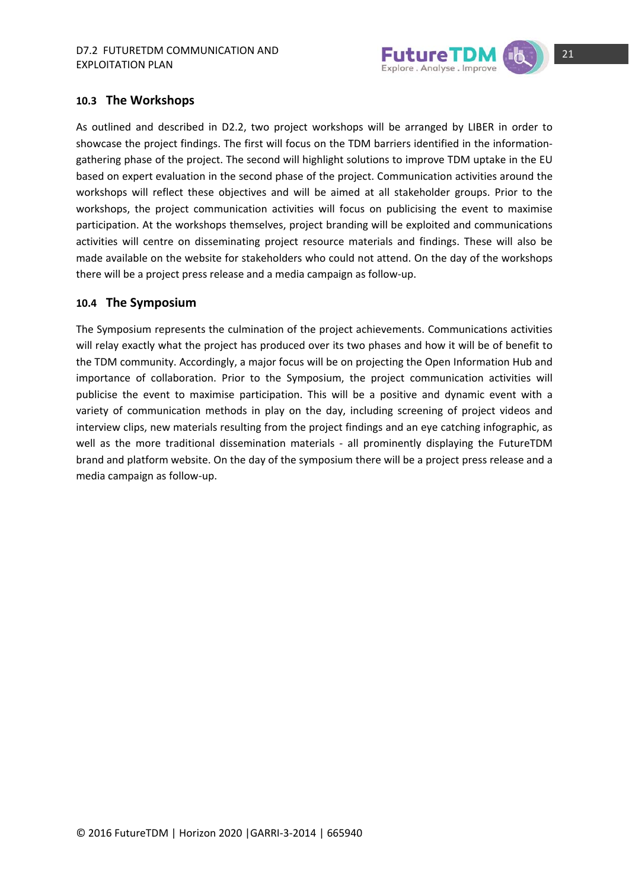

### **10.3 The Workshops**

As outlined and described in D2.2, two project workshops will be arranged by LIBER in order to showcase the project findings. The first will focus on the TDM barriers identified in the information‐ gathering phase of the project. The second will highlight solutions to improve TDM uptake in the EU based on expert evaluation in the second phase of the project. Communication activities around the workshops will reflect these objectives and will be aimed at all stakeholder groups. Prior to the workshops, the project communication activities will focus on publicising the event to maximise participation. At the workshops themselves, project branding will be exploited and communications activities will centre on disseminating project resource materials and findings. These will also be made available on the website for stakeholders who could not attend. On the day of the workshops there will be a project press release and a media campaign as follow‐up.

### **10.4 The Symposium**

The Symposium represents the culmination of the project achievements. Communications activities will relay exactly what the project has produced over its two phases and how it will be of benefit to the TDM community. Accordingly, a major focus will be on projecting the Open Information Hub and importance of collaboration. Prior to the Symposium, the project communication activities will publicise the event to maximise participation. This will be a positive and dynamic event with a variety of communication methods in play on the day, including screening of project videos and interview clips, new materials resulting from the project findings and an eye catching infographic, as well as the more traditional dissemination materials - all prominently displaying the FutureTDM brand and platform website. On the day of the symposium there will be a project press release and a media campaign as follow‐up.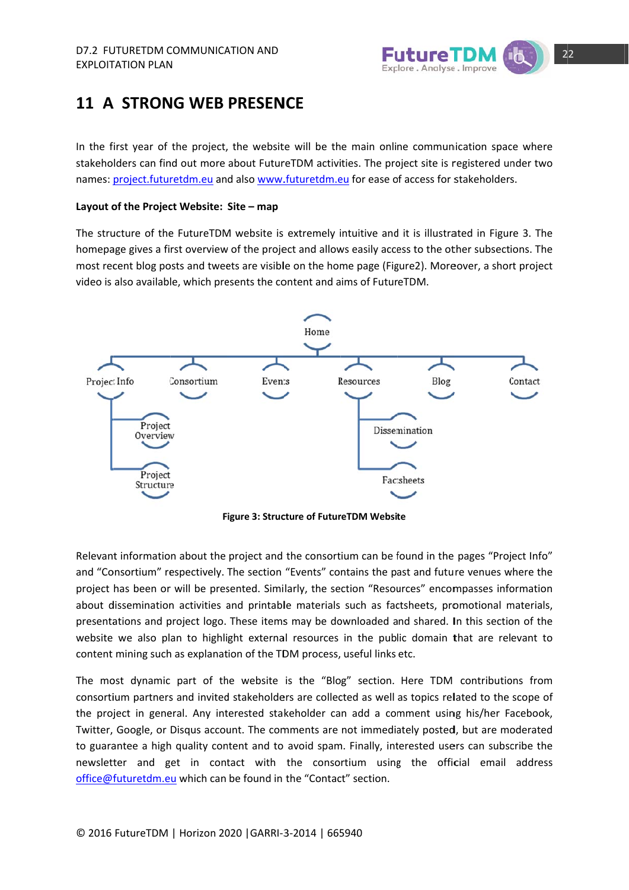

### 11 A STRONG WEB PRESENCE

In the first year of the project, the website will be the main online communication space where stakeholders can find out more about FutureTDM activities. The project site is registered under two names: project.futuretdm.eu and also www.futuretdm.eu for ease of access for stakeholders.

### **Layout o of the Projec ct Website: Site – map**

The structure of the FutureTDM website is extremely intuitive and it is illustrated in Figure 3. The homepage gives a first overview of the project and allows easily access to the other subsections. The most recent blog posts and tweets are visible on the home page (Figure2). Moreover, a short project video is also available, which presents the content and aims of FutureTDM.



**Figure 3: Structure of FutureTDM Website** 

Relevant information about the project and the consortium can be found in the pages "Project Info" and "Consortium" respectively. The section "Events" contains the past and future venues where the project has been or will be presented. Similarly, the section "Resources" encompasses information about dissemination activities and printable materials such as factsheets, promotional materials, presentations and project logo. These items may be downloaded and shared. In this section of the website we also plan to highlight external resources in the public domain that are relevant to content mining such as explanation of the TDM process, useful links etc.

The most dynamic part of the website is the "Blog" section. Here TDM contributions from consortium partners and invited stakeholders are collected as well as topics related to the scope of the project in general. Any interested stakeholder can add a comment using his/her Facebook, Twitter, Google, or Disqus account. The comments are not immediately posted, but are moderated to guarantee a high quality content and to avoid spam. Finally, interested users can subscribe the newsletter and get in contact with the consortium using the official email address office@futuretdm.eu which can be found in the "Contact" section.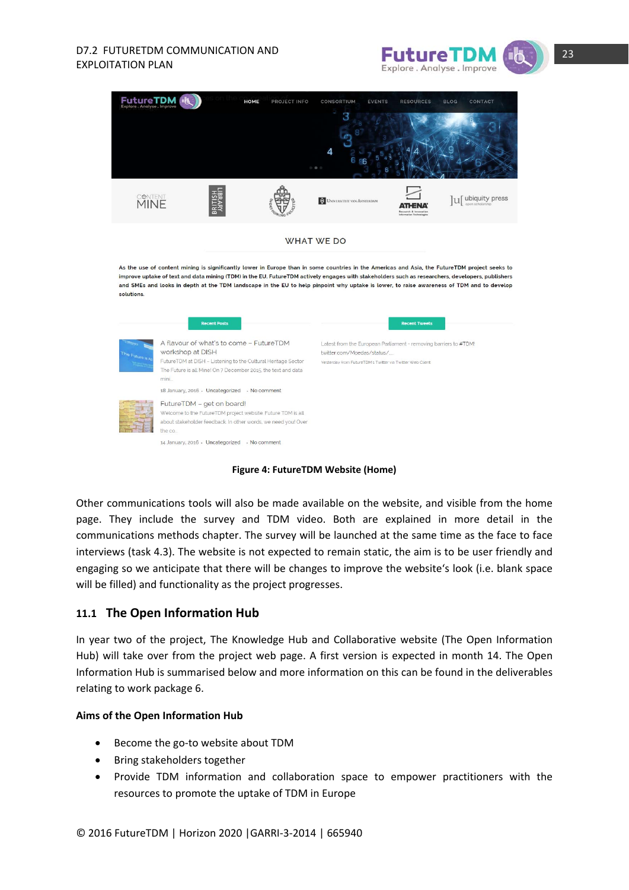## EXPLOITATION PLAN





**Figure 4: FutureTDM Website (Home)**

Other communications tools will also be made available on the website, and visible from the home page. They include the survey and TDM video. Both are explained in more detail in the communications methods chapter. The survey will be launched at the same time as the face to face interviews (task 4.3). The website is not expected to remain static, the aim is to be user friendly and engaging so we anticipate that there will be changes to improve the website's look (i.e. blank space will be filled) and functionality as the project progresses.

### **11.1 The Open Information Hub**

In year two of the project, The Knowledge Hub and Collaborative website (The Open Information Hub) will take over from the project web page. A first version is expected in month 14. The Open Information Hub is summarised below and more information on this can be found in the deliverables relating to work package 6.

### **Aims of the Open Information Hub**

- Become the go-to website about TDM
- Bring stakeholders together
- Provide TDM information and collaboration space to empower practitioners with the resources to promote the uptake of TDM in Europe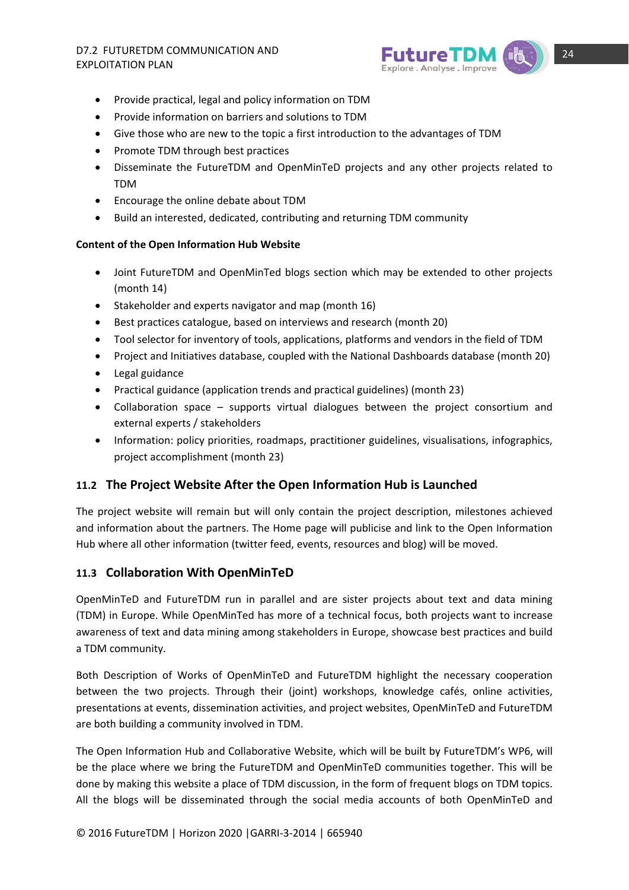## EXPLOITATION PLAN



- Provide practical, legal and policy information on TDM
- Provide information on barriers and solutions to TDM
- Give those who are new to the topic a first introduction to the advantages of TDM
- Promote TDM through best practices
- Disseminate the FutureTDM and OpenMinTeD projects and any other projects related to TDM
- Encourage the online debate about TDM
- Build an interested, dedicated, contributing and returning TDM community

### **Content of the Open Information Hub Website**

- Joint FutureTDM and OpenMinTed blogs section which may be extended to other projects (month 14)
- Stakeholder and experts navigator and map (month 16)
- Best practices catalogue, based on interviews and research (month 20)
- Tool selector for inventory of tools, applications, platforms and vendors in the field of TDM
- Project and Initiatives database, coupled with the National Dashboards database (month 20)
- Legal guidance
- Practical guidance (application trends and practical guidelines) (month 23)
- Collaboration space supports virtual dialogues between the project consortium and external experts / stakeholders
- Information: policy priorities, roadmaps, practitioner guidelines, visualisations, infographics, project accomplishment (month 23)

### **11.2 The Project Website After the Open Information Hub is Launched**

The project website will remain but will only contain the project description, milestones achieved and information about the partners. The Home page will publicise and link to the Open Information Hub where all other information (twitter feed, events, resources and blog) will be moved.

### **11.3 Collaboration With OpenMinTeD**

OpenMinTeD and FutureTDM run in parallel and are sister projects about text and data mining (TDM) in Europe. While OpenMinTed has more of a technical focus, both projects want to increase awareness of text and data mining among stakeholders in Europe, showcase best practices and build a TDM community.

Both Description of Works of OpenMinTeD and FutureTDM highlight the necessary cooperation between the two projects. Through their (joint) workshops, knowledge cafés, online activities, presentations at events, dissemination activities, and project websites, OpenMinTeD and FutureTDM are both building a community involved in TDM.

The Open Information Hub and Collaborative Website, which will be built by FutureTDM's WP6, will be the place where we bring the FutureTDM and OpenMinTeD communities together. This will be done by making this website a place of TDM discussion, in the form of frequent blogs on TDM topics. All the blogs will be disseminated through the social media accounts of both OpenMinTeD and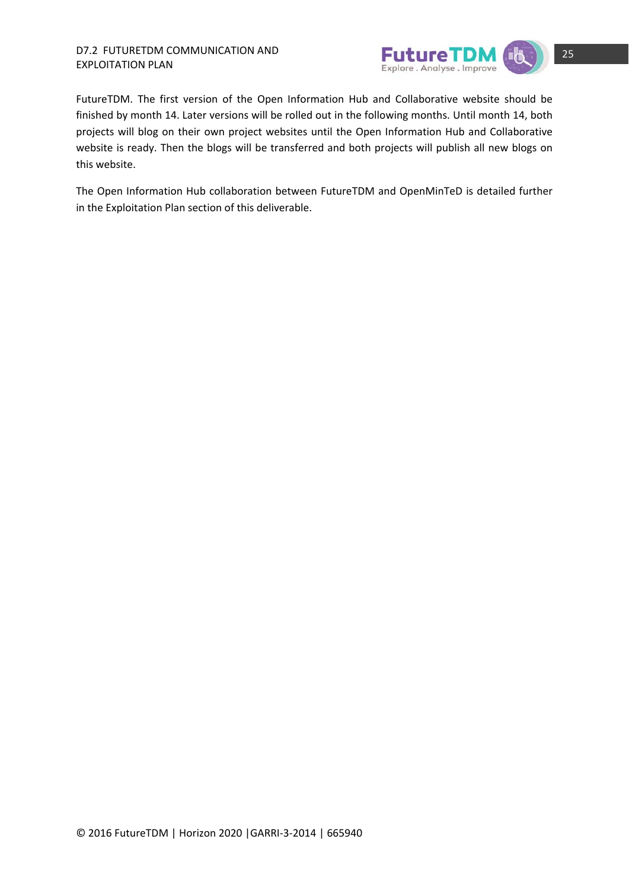

FutureTDM. The first version of the Open Information Hub and Collaborative website should be finished by month 14. Later versions will be rolled out in the following months. Until month 14, both projects will blog on their own project websites until the Open Information Hub and Collaborative website is ready. Then the blogs will be transferred and both projects will publish all new blogs on this website.

The Open Information Hub collaboration between FutureTDM and OpenMinTeD is detailed further in the Exploitation Plan section of this deliverable.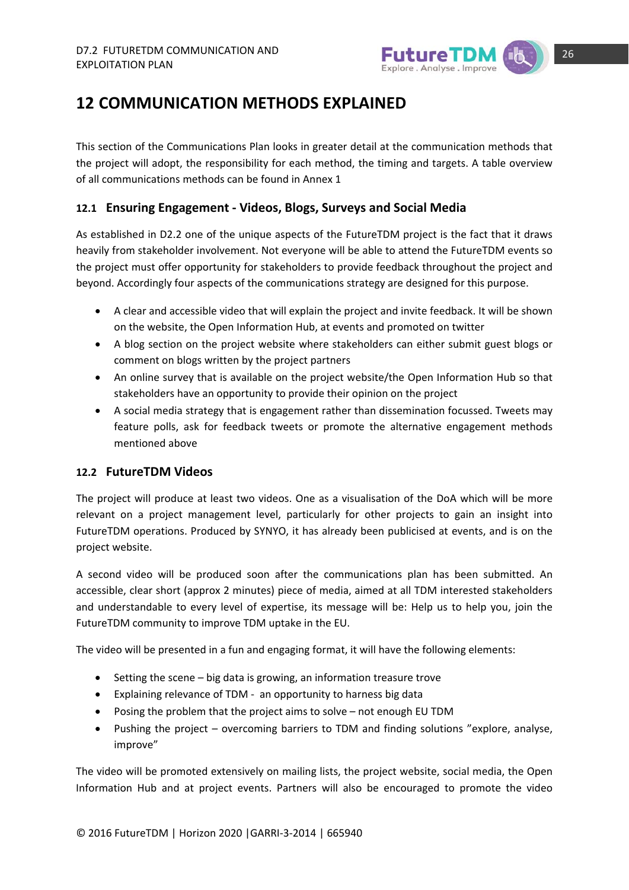

### **12 COMMUNICATION METHODS EXPLAINED**

This section of the Communications Plan looks in greater detail at the communication methods that the project will adopt, the responsibility for each method, the timing and targets. A table overview of all communications methods can be found in Annex 1

### **12.1 Ensuring Engagement ‐ Videos, Blogs, Surveys and Social Media**

As established in D2.2 one of the unique aspects of the FutureTDM project is the fact that it draws heavily from stakeholder involvement. Not everyone will be able to attend the FutureTDM events so the project must offer opportunity for stakeholders to provide feedback throughout the project and beyond. Accordingly four aspects of the communications strategy are designed for this purpose.

- A clear and accessible video that will explain the project and invite feedback. It will be shown on the website, the Open Information Hub, at events and promoted on twitter
- A blog section on the project website where stakeholders can either submit guest blogs or comment on blogs written by the project partners
- An online survey that is available on the project website/the Open Information Hub so that stakeholders have an opportunity to provide their opinion on the project
- A social media strategy that is engagement rather than dissemination focussed. Tweets may feature polls, ask for feedback tweets or promote the alternative engagement methods mentioned above

### **12.2 FutureTDM Videos**

The project will produce at least two videos. One as a visualisation of the DoA which will be more relevant on a project management level, particularly for other projects to gain an insight into FutureTDM operations. Produced by SYNYO, it has already been publicised at events, and is on the project website.

A second video will be produced soon after the communications plan has been submitted. An accessible, clear short (approx 2 minutes) piece of media, aimed at all TDM interested stakeholders and understandable to every level of expertise, its message will be: Help us to help you, join the FutureTDM community to improve TDM uptake in the EU.

The video will be presented in a fun and engaging format, it will have the following elements:

- $\bullet$  Setting the scene big data is growing, an information treasure trove
- Explaining relevance of TDM an opportunity to harness big data
- Posing the problem that the project aims to solve not enough EU TDM
- Pushing the project overcoming barriers to TDM and finding solutions "explore, analyse, improve"

The video will be promoted extensively on mailing lists, the project website, social media, the Open Information Hub and at project events. Partners will also be encouraged to promote the video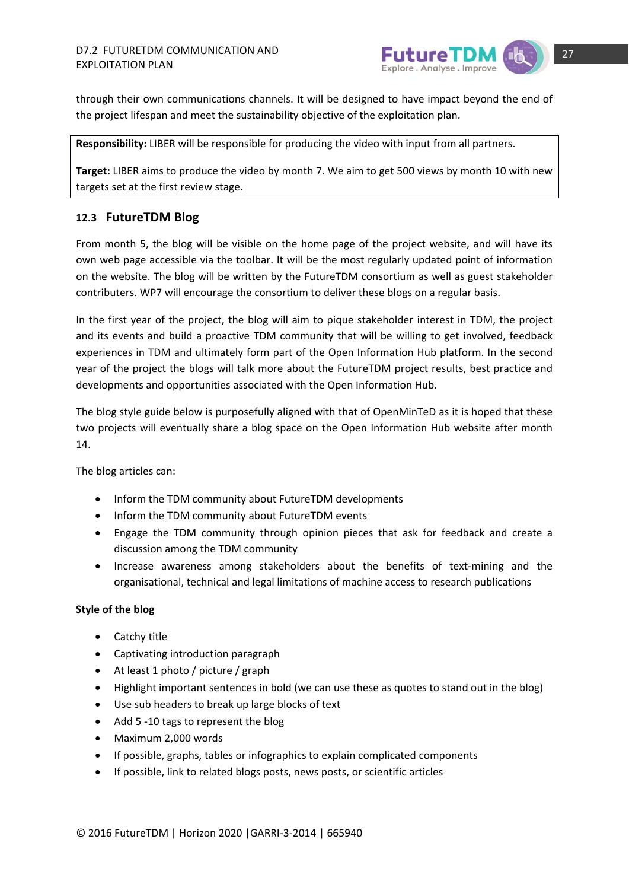

through their own communications channels. It will be designed to have impact beyond the end of the project lifespan and meet the sustainability objective of the exploitation plan.

**Responsibility:** LIBER will be responsible for producing the video with input from all partners.

**Target:** LIBER aims to produce the video by month 7. We aim to get 500 views by month 10 with new targets set at the first review stage.

### **12.3 FutureTDM Blog**

From month 5, the blog will be visible on the home page of the project website, and will have its own web page accessible via the toolbar. It will be the most regularly updated point of information on the website. The blog will be written by the FutureTDM consortium as well as guest stakeholder contributers. WP7 will encourage the consortium to deliver these blogs on a regular basis.

In the first year of the project, the blog will aim to pique stakeholder interest in TDM, the project and its events and build a proactive TDM community that will be willing to get involved, feedback experiences in TDM and ultimately form part of the Open Information Hub platform. In the second year of the project the blogs will talk more about the FutureTDM project results, best practice and developments and opportunities associated with the Open Information Hub.

The blog style guide below is purposefully aligned with that of OpenMinTeD as it is hoped that these two projects will eventually share a blog space on the Open Information Hub website after month 14.

The blog articles can:

- Inform the TDM community about FutureTDM developments
- Inform the TDM community about FutureTDM events
- Engage the TDM community through opinion pieces that ask for feedback and create a discussion among the TDM community
- Increase awareness among stakeholders about the benefits of text-mining and the organisational, technical and legal limitations of machine access to research publications

### **Style of the blog**

- Catchy title
- Captivating introduction paragraph
- At least 1 photo / picture / graph
- Highlight important sentences in bold (we can use these as quotes to stand out in the blog)
- Use sub headers to break up large blocks of text
- Add 5 -10 tags to represent the blog
- Maximum 2,000 words
- If possible, graphs, tables or infographics to explain complicated components
- If possible, link to related blogs posts, news posts, or scientific articles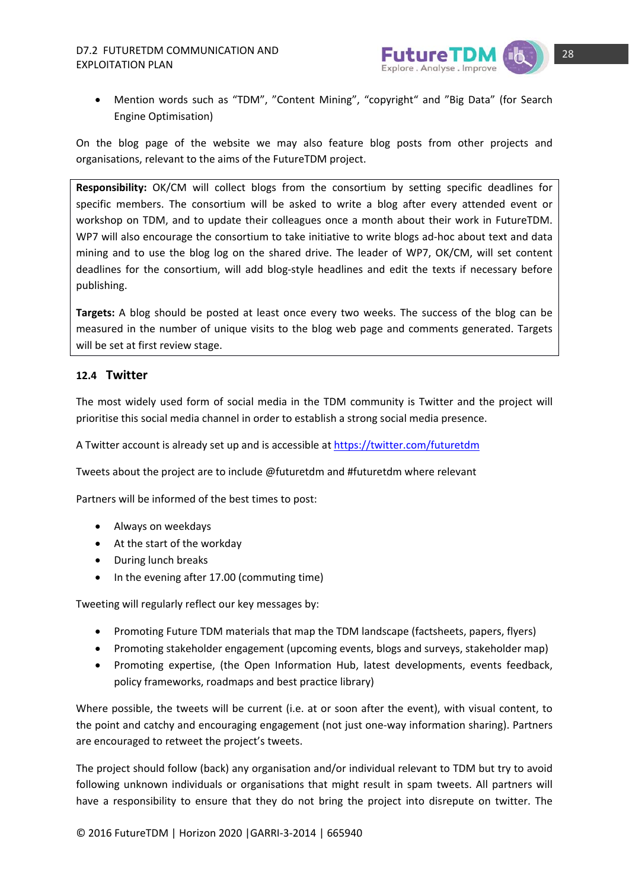## EXPLOITATION PLAN



 Mention words such as "TDM", "Content Mining", "copyright" and "Big Data" (for Search Engine Optimisation)

On the blog page of the website we may also feature blog posts from other projects and organisations, relevant to the aims of the FutureTDM project.

**Responsibility:** OK/CM will collect blogs from the consortium by setting specific deadlines for specific members. The consortium will be asked to write a blog after every attended event or workshop on TDM, and to update their colleagues once a month about their work in FutureTDM. WP7 will also encourage the consortium to take initiative to write blogs ad-hoc about text and data mining and to use the blog log on the shared drive. The leader of WP7, OK/CM, will set content deadlines for the consortium, will add blog-style headlines and edit the texts if necessary before publishing.

**Targets:** A blog should be posted at least once every two weeks. The success of the blog can be measured in the number of unique visits to the blog web page and comments generated. Targets will be set at first review stage.

### **12.4 Twitter**

The most widely used form of social media in the TDM community is Twitter and the project will prioritise this social media channel in order to establish a strong social media presence.

A Twitter account is already set up and is accessible at https://twitter.com/futuretdm

Tweets about the project are to include @futuretdm and #futuretdm where relevant

Partners will be informed of the best times to post:

- Always on weekdays
- At the start of the workday
- During lunch breaks
- In the evening after 17.00 (commuting time)

Tweeting will regularly reflect our key messages by:

- Promoting Future TDM materials that map the TDM landscape (factsheets, papers, flyers)
- Promoting stakeholder engagement (upcoming events, blogs and surveys, stakeholder map)
- Promoting expertise, (the Open Information Hub, latest developments, events feedback, policy frameworks, roadmaps and best practice library)

Where possible, the tweets will be current (i.e. at or soon after the event), with visual content, to the point and catchy and encouraging engagement (not just one‐way information sharing). Partners are encouraged to retweet the project's tweets.

The project should follow (back) any organisation and/or individual relevant to TDM but try to avoid following unknown individuals or organisations that might result in spam tweets. All partners will have a responsibility to ensure that they do not bring the project into disrepute on twitter. The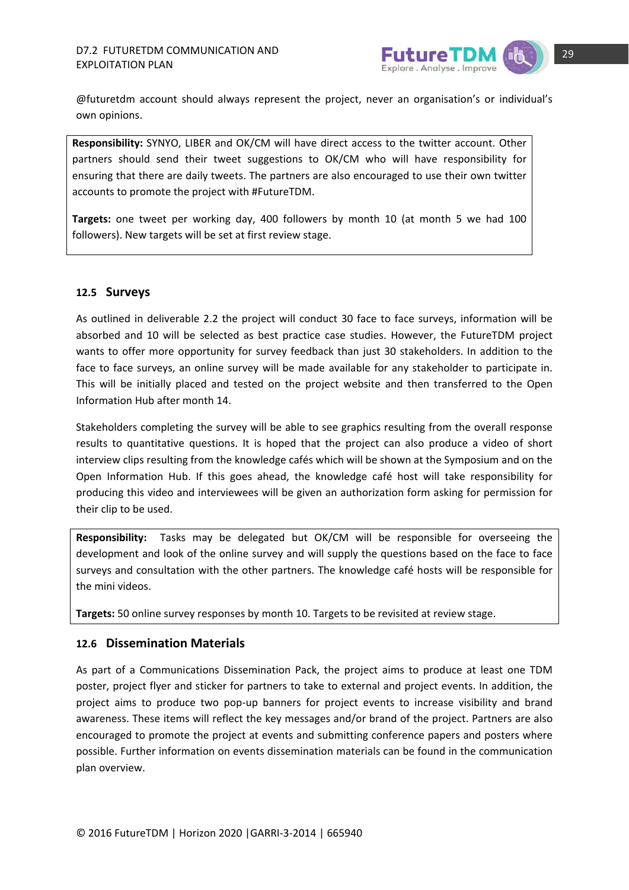

@futuretdm account should always represent the project, never an organisation's or individual's own opinions.

**Responsibility:** SYNYO, LIBER and OK/CM will have direct access to the twitter account. Other partners should send their tweet suggestions to OK/CM who will have responsibility for ensuring that there are daily tweets. The partners are also encouraged to use their own twitter accounts to promote the project with #FutureTDM.

**Targets:** one tweet per working day, 400 followers by month 10 (at month 5 we had 100 followers). New targets will be set at first review stage.

### **12.5 Surveys**

As outlined in deliverable 2.2 the project will conduct 30 face to face surveys, information will be absorbed and 10 will be selected as best practice case studies. However, the FutureTDM project wants to offer more opportunity for survey feedback than just 30 stakeholders. In addition to the face to face surveys, an online survey will be made available for any stakeholder to participate in. This will be initially placed and tested on the project website and then transferred to the Open Information Hub after month 14.

Stakeholders completing the survey will be able to see graphics resulting from the overall response results to quantitative questions. It is hoped that the project can also produce a video of short interview clips resulting from the knowledge cafés which will be shown at the Symposium and on the Open Information Hub. If this goes ahead, the knowledge café host will take responsibility for producing this video and interviewees will be given an authorization form asking for permission for their clip to be used.

**Responsibility:** Tasks may be delegated but OK/CM will be responsible for overseeing the development and look of the online survey and will supply the questions based on the face to face surveys and consultation with the other partners. The knowledge café hosts will be responsible for the mini videos.

**Targets:** 50 online survey responses by month 10. Targets to be revisited at review stage.

### **12.6 Dissemination Materials**

As part of a Communications Dissemination Pack, the project aims to produce at least one TDM poster, project flyer and sticker for partners to take to external and project events. In addition, the project aims to produce two pop‐up banners for project events to increase visibility and brand awareness. These items will reflect the key messages and/or brand of the project. Partners are also encouraged to promote the project at events and submitting conference papers and posters where possible. Further information on events dissemination materials can be found in the communication plan overview.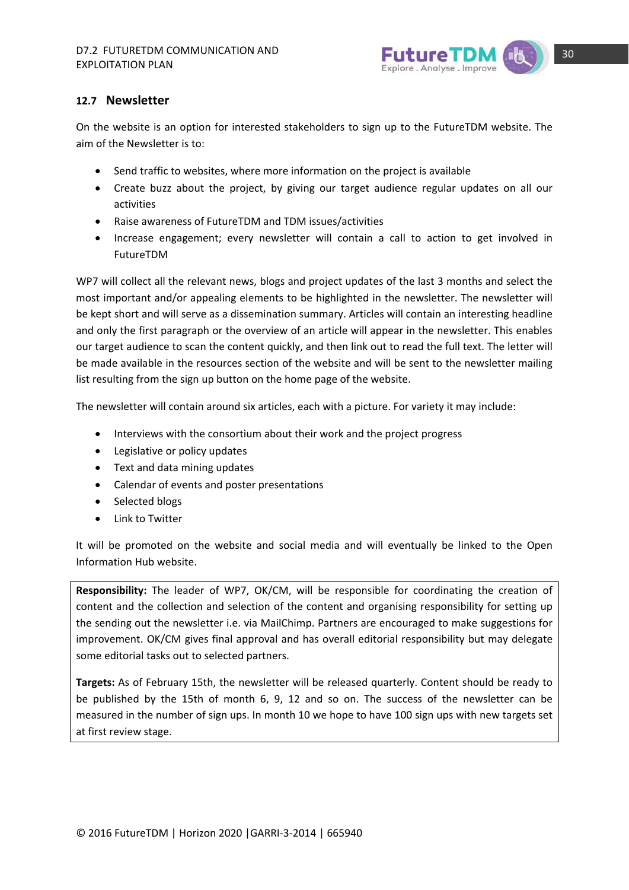

### **12.7 Newsletter**

On the website is an option for interested stakeholders to sign up to the FutureTDM website. The aim of the Newsletter is to:

- Send traffic to websites, where more information on the project is available
- Create buzz about the project, by giving our target audience regular updates on all our activities
- Raise awareness of FutureTDM and TDM issues/activities
- Increase engagement; every newsletter will contain a call to action to get involved in FutureTDM

WP7 will collect all the relevant news, blogs and project updates of the last 3 months and select the most important and/or appealing elements to be highlighted in the newsletter. The newsletter will be kept short and will serve as a dissemination summary. Articles will contain an interesting headline and only the first paragraph or the overview of an article will appear in the newsletter. This enables our target audience to scan the content quickly, and then link out to read the full text. The letter will be made available in the resources section of the website and will be sent to the newsletter mailing list resulting from the sign up button on the home page of the website.

The newsletter will contain around six articles, each with a picture. For variety it may include:

- Interviews with the consortium about their work and the project progress
- Legislative or policy updates
- Text and data mining updates
- Calendar of events and poster presentations
- Selected blogs
- Link to Twitter

It will be promoted on the website and social media and will eventually be linked to the Open Information Hub website.

**Responsibility:** The leader of WP7, OK/CM, will be responsible for coordinating the creation of content and the collection and selection of the content and organising responsibility for setting up the sending out the newsletter i.e. via MailChimp. Partners are encouraged to make suggestions for improvement. OK/CM gives final approval and has overall editorial responsibility but may delegate some editorial tasks out to selected partners.

**Targets:** As of February 15th, the newsletter will be released quarterly. Content should be ready to be published by the 15th of month 6, 9, 12 and so on. The success of the newsletter can be measured in the number of sign ups. In month 10 we hope to have 100 sign ups with new targets set at first review stage.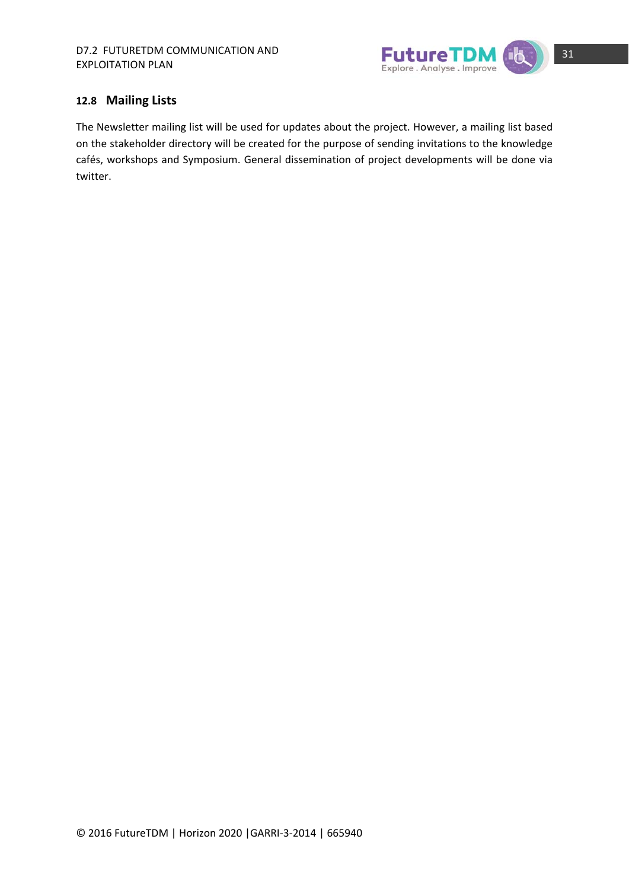

### **12.8 Mailing Lists**

The Newsletter mailing list will be used for updates about the project. However, a mailing list based on the stakeholder directory will be created for the purpose of sending invitations to the knowledge cafés, workshops and Symposium. General dissemination of project developments will be done via twitter.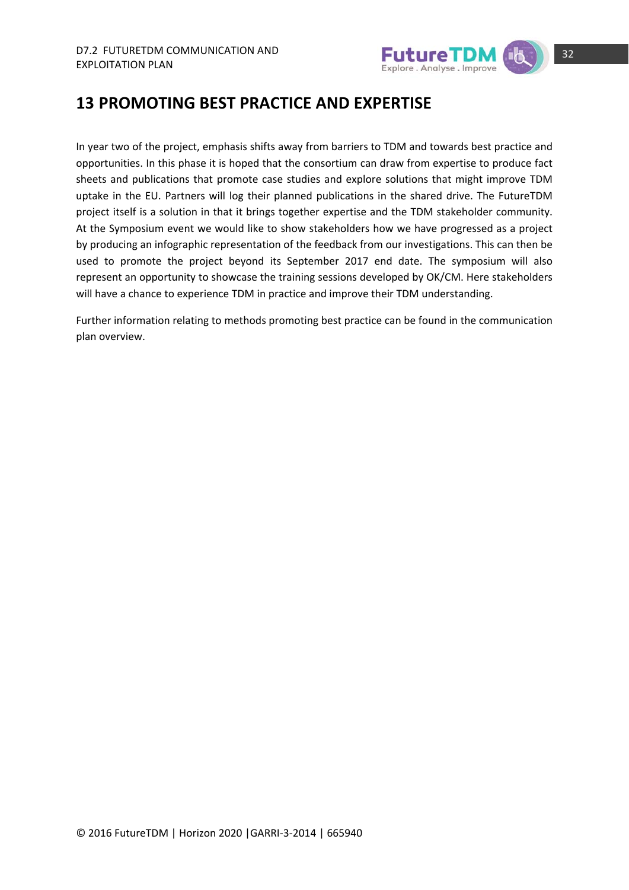

### **13 PROMOTING BEST PRACTICE AND EXPERTISE**

In year two of the project, emphasis shifts away from barriers to TDM and towards best practice and opportunities. In this phase it is hoped that the consortium can draw from expertise to produce fact sheets and publications that promote case studies and explore solutions that might improve TDM uptake in the EU. Partners will log their planned publications in the shared drive. The FutureTDM project itself is a solution in that it brings together expertise and the TDM stakeholder community. At the Symposium event we would like to show stakeholders how we have progressed as a project by producing an infographic representation of the feedback from our investigations. This can then be used to promote the project beyond its September 2017 end date. The symposium will also represent an opportunity to showcase the training sessions developed by OK/CM. Here stakeholders will have a chance to experience TDM in practice and improve their TDM understanding.

Further information relating to methods promoting best practice can be found in the communication plan overview.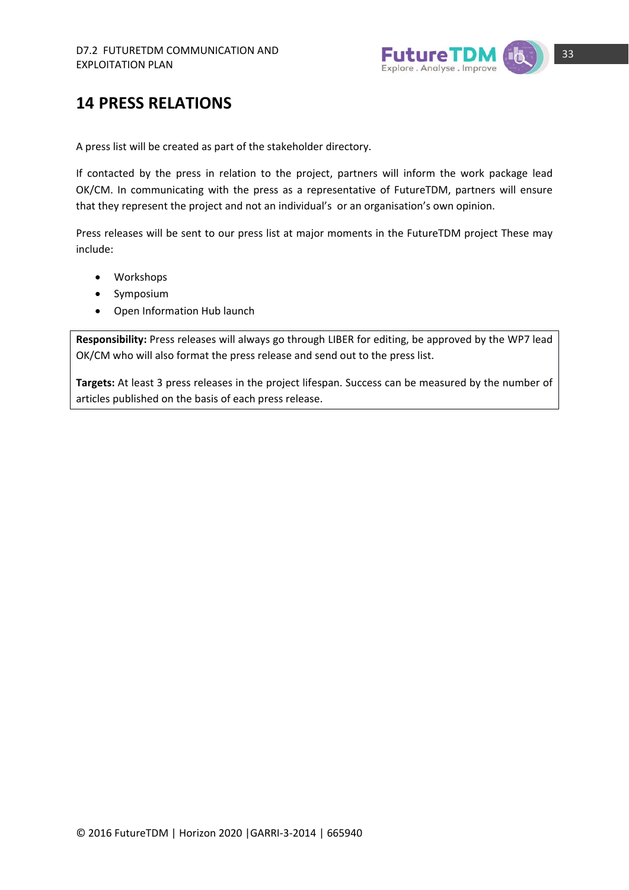

## **14 PRESS RELATIONS**

A press list will be created as part of the stakeholder directory.

If contacted by the press in relation to the project, partners will inform the work package lead OK/CM. In communicating with the press as a representative of FutureTDM, partners will ensure that they represent the project and not an individual's or an organisation's own opinion.

Press releases will be sent to our press list at major moments in the FutureTDM project These may include:

- Workshops
- Symposium
- Open Information Hub launch

**Responsibility:** Press releases will always go through LIBER for editing, be approved by the WP7 lead OK/CM who will also format the press release and send out to the press list.

**Targets:** At least 3 press releases in the project lifespan. Success can be measured by the number of articles published on the basis of each press release.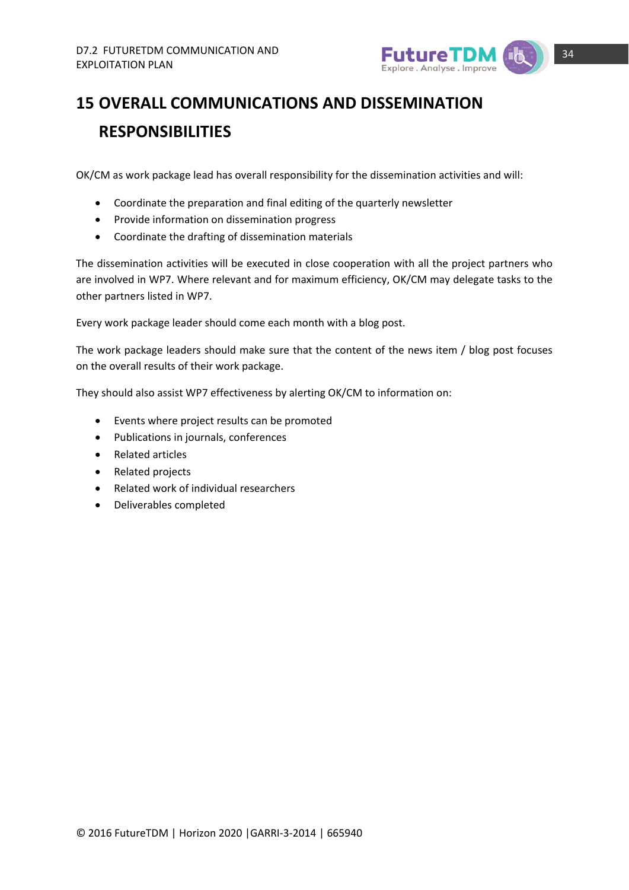

## **15 OVERALL COMMUNICATIONS AND DISSEMINATION RESPONSIBILITIES**

OK/CM as work package lead has overall responsibility for the dissemination activities and will:

- Coordinate the preparation and final editing of the quarterly newsletter
- Provide information on dissemination progress
- Coordinate the drafting of dissemination materials

The dissemination activities will be executed in close cooperation with all the project partners who are involved in WP7. Where relevant and for maximum efficiency, OK/CM may delegate tasks to the other partners listed in WP7.

Every work package leader should come each month with a blog post.

The work package leaders should make sure that the content of the news item / blog post focuses on the overall results of their work package.

They should also assist WP7 effectiveness by alerting OK/CM to information on:

- Events where project results can be promoted
- Publications in journals, conferences
- Related articles
- Related projects
- Related work of individual researchers
- Deliverables completed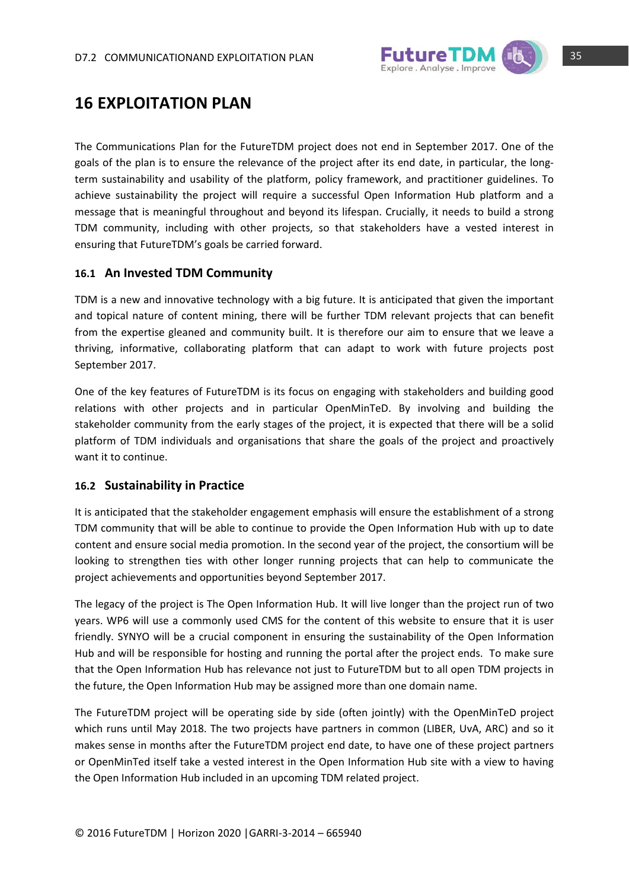

### **16 EXPLOITATION PLAN**

The Communications Plan for the FutureTDM project does not end in September 2017. One of the goals of the plan is to ensure the relevance of the project after its end date, in particular, the longterm sustainability and usability of the platform, policy framework, and practitioner guidelines. To achieve sustainability the project will require a successful Open Information Hub platform and a message that is meaningful throughout and beyond its lifespan. Crucially, it needs to build a strong TDM community, including with other projects, so that stakeholders have a vested interest in ensuring that FutureTDM's goals be carried forward.

### **16.1 An Invested TDM Community**

TDM is a new and innovative technology with a big future. It is anticipated that given the important and topical nature of content mining, there will be further TDM relevant projects that can benefit from the expertise gleaned and community built. It is therefore our aim to ensure that we leave a thriving, informative, collaborating platform that can adapt to work with future projects post September 2017.

One of the key features of FutureTDM is its focus on engaging with stakeholders and building good relations with other projects and in particular OpenMinTeD. By involving and building the stakeholder community from the early stages of the project, it is expected that there will be a solid platform of TDM individuals and organisations that share the goals of the project and proactively want it to continue.

### **16.2 Sustainability in Practice**

It is anticipated that the stakeholder engagement emphasis will ensure the establishment of a strong TDM community that will be able to continue to provide the Open Information Hub with up to date content and ensure social media promotion. In the second year of the project, the consortium will be looking to strengthen ties with other longer running projects that can help to communicate the project achievements and opportunities beyond September 2017.

The legacy of the project is The Open Information Hub. It will live longer than the project run of two years. WP6 will use a commonly used CMS for the content of this website to ensure that it is user friendly. SYNYO will be a crucial component in ensuring the sustainability of the Open Information Hub and will be responsible for hosting and running the portal after the project ends. To make sure that the Open Information Hub has relevance not just to FutureTDM but to all open TDM projects in the future, the Open Information Hub may be assigned more than one domain name.

The FutureTDM project will be operating side by side (often jointly) with the OpenMinTeD project which runs until May 2018. The two projects have partners in common (LIBER, UvA, ARC) and so it makes sense in months after the FutureTDM project end date, to have one of these project partners or OpenMinTed itself take a vested interest in the Open Information Hub site with a view to having the Open Information Hub included in an upcoming TDM related project.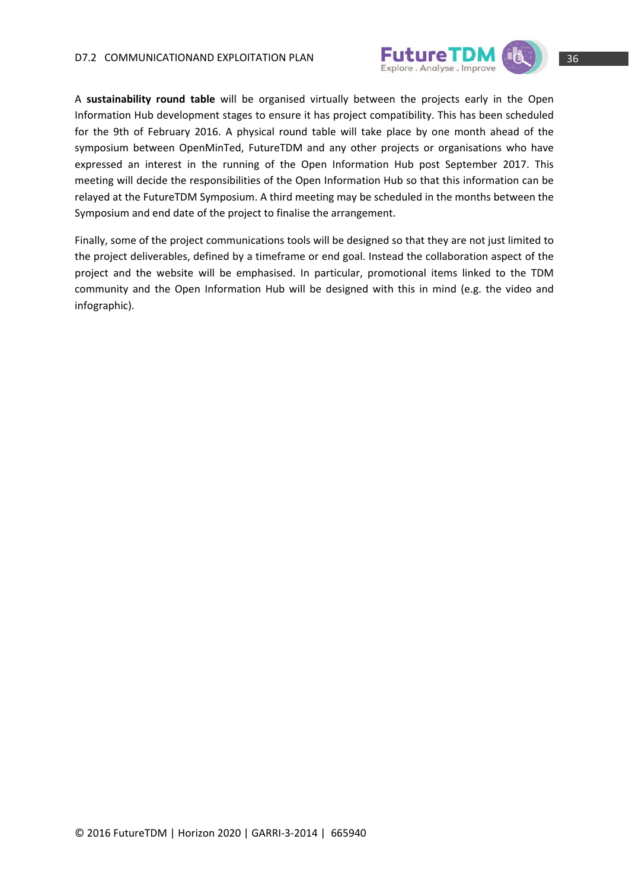

A **sustainability round table** will be organised virtually between the projects early in the Open Information Hub development stages to ensure it has project compatibility. This has been scheduled for the 9th of February 2016. A physical round table will take place by one month ahead of the symposium between OpenMinTed, FutureTDM and any other projects or organisations who have expressed an interest in the running of the Open Information Hub post September 2017. This meeting will decide the responsibilities of the Open Information Hub so that this information can be relayed at the FutureTDM Symposium. A third meeting may be scheduled in the months between the Symposium and end date of the project to finalise the arrangement.

Finally, some of the project communications tools will be designed so that they are not just limited to the project deliverables, defined by a timeframe or end goal. Instead the collaboration aspect of the project and the website will be emphasised. In particular, promotional items linked to the TDM community and the Open Information Hub will be designed with this in mind (e.g. the video and infographic).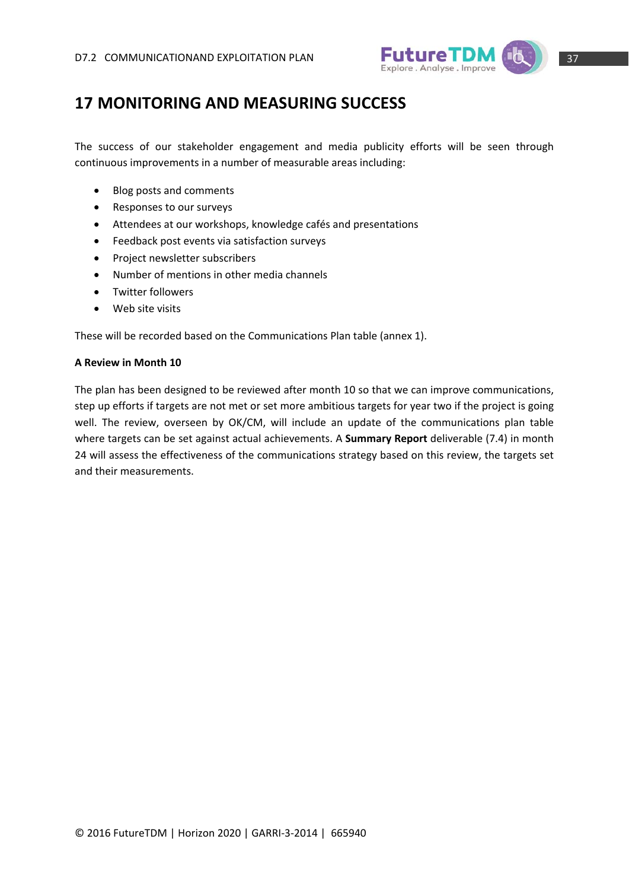

### **17 MONITORING AND MEASURING SUCCESS**

The success of our stakeholder engagement and media publicity efforts will be seen through continuous improvements in a number of measurable areas including:

- Blog posts and comments
- Responses to our surveys
- Attendees at our workshops, knowledge cafés and presentations
- Feedback post events via satisfaction surveys
- Project newsletter subscribers
- Number of mentions in other media channels
- Twitter followers
- Web site visits

These will be recorded based on the Communications Plan table (annex 1).

#### **A Review in Month 10**

The plan has been designed to be reviewed after month 10 so that we can improve communications, step up efforts if targets are not met or set more ambitious targets for year two if the project is going well. The review, overseen by OK/CM, will include an update of the communications plan table where targets can be set against actual achievements. A **Summary Report** deliverable (7.4) in month 24 will assess the effectiveness of the communications strategy based on this review, the targets set and their measurements.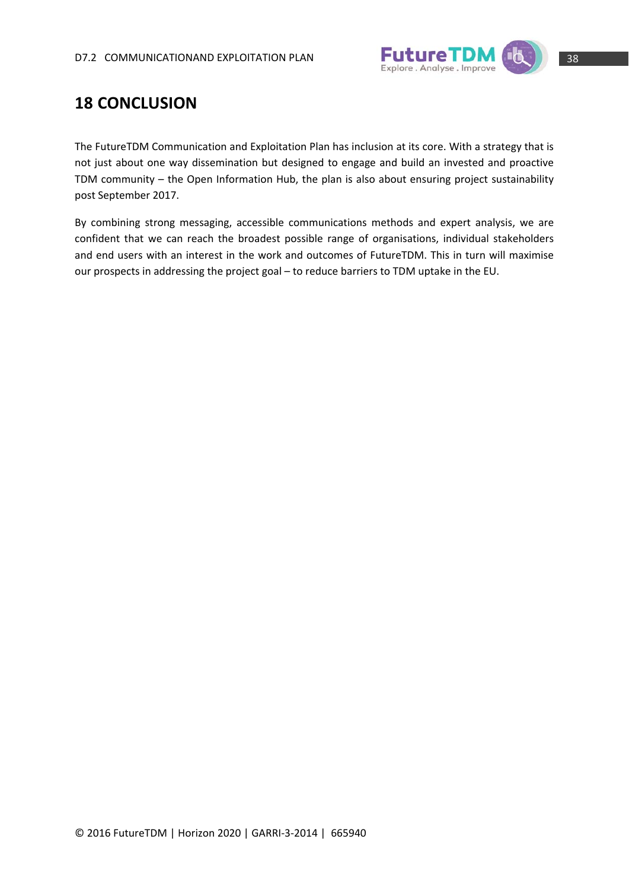

## **18 CONCLUSION**

The FutureTDM Communication and Exploitation Plan has inclusion at its core. With a strategy that is not just about one way dissemination but designed to engage and build an invested and proactive TDM community – the Open Information Hub, the plan is also about ensuring project sustainability post September 2017.

By combining strong messaging, accessible communications methods and expert analysis, we are confident that we can reach the broadest possible range of organisations, individual stakeholders and end users with an interest in the work and outcomes of FutureTDM. This in turn will maximise our prospects in addressing the project goal – to reduce barriers to TDM uptake in the EU.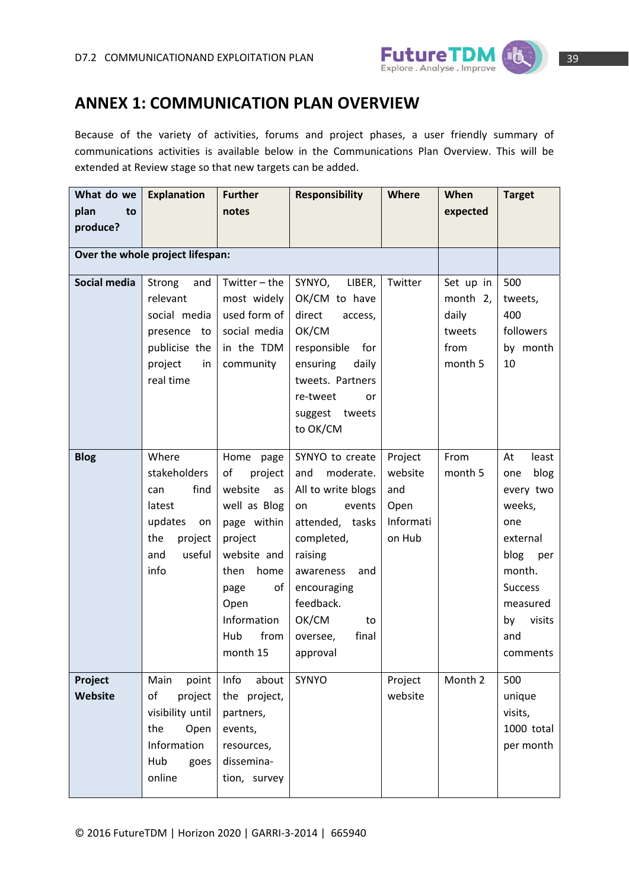

### **ANNEX 1: COMMUNICATION PLAN OVERVIEW**

Because of the variety of activities, forums and project phases, a user friendly summary of communications activities is available below in the Communications Plan Overview. This will be extended at Review stage so that new targets can be added.

| What do we         | <b>Explanation</b>                                                                                         | <b>Further</b>                                                                                                                                                                          | <b>Responsibility</b>                                                                                                                                                                                                 | <b>Where</b>                                             | When                                                        | <b>Target</b>                                                                                                                                                  |
|--------------------|------------------------------------------------------------------------------------------------------------|-----------------------------------------------------------------------------------------------------------------------------------------------------------------------------------------|-----------------------------------------------------------------------------------------------------------------------------------------------------------------------------------------------------------------------|----------------------------------------------------------|-------------------------------------------------------------|----------------------------------------------------------------------------------------------------------------------------------------------------------------|
| plan<br>to         |                                                                                                            | notes                                                                                                                                                                                   |                                                                                                                                                                                                                       |                                                          | expected                                                    |                                                                                                                                                                |
| produce?           |                                                                                                            |                                                                                                                                                                                         |                                                                                                                                                                                                                       |                                                          |                                                             |                                                                                                                                                                |
|                    | Over the whole project lifespan:                                                                           |                                                                                                                                                                                         |                                                                                                                                                                                                                       |                                                          |                                                             |                                                                                                                                                                |
| Social media       | Strong<br>and<br>relevant<br>social media<br>presence to<br>publicise the<br>project<br>in<br>real time    | Twitter $-$ the<br>most widely<br>used form of<br>social media<br>in the TDM<br>community                                                                                               | SYNYO,<br>LIBER,<br>OK/CM to have<br>direct<br>access,<br>OK/CM<br>responsible<br>for<br>ensuring<br>daily<br>tweets. Partners<br>re-tweet<br>or<br>suggest tweets<br>to OK/CM                                        | Twitter                                                  | Set up in<br>month 2,<br>daily<br>tweets<br>from<br>month 5 | 500<br>tweets,<br>400<br>followers<br>by month<br>10                                                                                                           |
| <b>Blog</b>        | Where<br>stakeholders<br>find<br>can<br>latest<br>updates<br>on<br>the<br>project<br>useful<br>and<br>info | Home<br>page<br>of<br>project<br>website<br>as<br>well as Blog<br>page within<br>project<br>website and<br>home<br>then<br>of<br>page<br>Open<br>Information<br>from<br>Hub<br>month 15 | SYNYO to create<br>and<br>moderate.<br>All to write blogs<br>on<br>events<br>attended, tasks<br>completed,<br>raising<br>awareness<br>and<br>encouraging<br>feedback.<br>OK/CM<br>to<br>final<br>oversee,<br>approval | Project<br>website<br>and<br>Open<br>Informati<br>on Hub | From<br>month 5                                             | least<br>At<br>blog<br>one<br>every two<br>weeks,<br>one<br>external<br>blog<br>per<br>month.<br><b>Success</b><br>measured<br>visits<br>by<br>and<br>comments |
| Project<br>Website | point<br>Main<br>of<br>project<br>visibility until<br>the<br>Open<br>Information<br>Hub<br>goes<br>online  | Info<br>about<br>the project,<br>partners,<br>events,<br>resources,<br>dissemina-<br>tion, survey                                                                                       | SYNYO                                                                                                                                                                                                                 | Project<br>website                                       | Month 2                                                     | 500<br>unique<br>visits,<br>1000 total<br>per month                                                                                                            |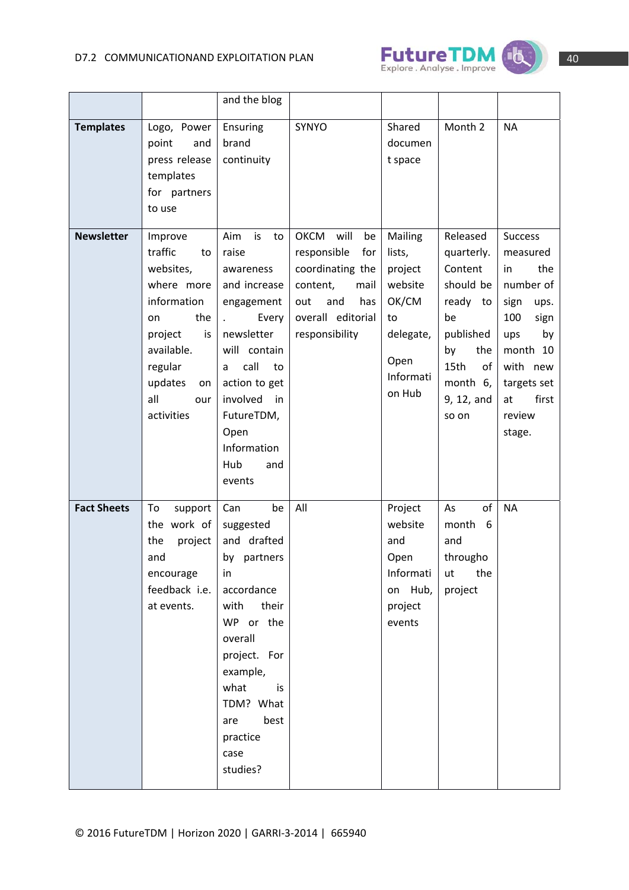

| - |  |
|---|--|
|   |  |

|                    |                                                                                                                                                                        | and the blog                                                                                                                                                                                                                  |                                                                                                                                              |                                                                                                    |                                                                                                                                                |                                                                                                                                                                            |
|--------------------|------------------------------------------------------------------------------------------------------------------------------------------------------------------------|-------------------------------------------------------------------------------------------------------------------------------------------------------------------------------------------------------------------------------|----------------------------------------------------------------------------------------------------------------------------------------------|----------------------------------------------------------------------------------------------------|------------------------------------------------------------------------------------------------------------------------------------------------|----------------------------------------------------------------------------------------------------------------------------------------------------------------------------|
| <b>Templates</b>   | Logo, Power<br>point<br>and<br>press release<br>templates<br>for partners<br>to use                                                                                    | Ensuring<br>brand<br>continuity                                                                                                                                                                                               | <b>SYNYO</b>                                                                                                                                 | Shared<br>documen<br>t space                                                                       | Month 2                                                                                                                                        | <b>NA</b>                                                                                                                                                                  |
| <b>Newsletter</b>  | Improve<br>traffic<br>to<br>websites,<br>where more<br>information<br>the<br>on<br>project<br>is<br>available.<br>regular<br>updates<br>on<br>all<br>our<br>activities | is<br>Aim<br>to<br>raise<br>awareness<br>and increase<br>engagement<br>Every<br>newsletter<br>will contain<br>call<br>to<br>a<br>action to get<br>involved<br>in<br>FutureTDM,<br>Open<br>Information<br>Hub<br>and<br>events | OKCM<br>will<br>be<br>responsible<br>for<br>coordinating the<br>content,<br>mail<br>and<br>has<br>out<br>overall editorial<br>responsibility | Mailing<br>lists,<br>project<br>website<br>OK/CM<br>to<br>delegate,<br>Open<br>Informati<br>on Hub | Released<br>quarterly.<br>Content<br>should be<br>ready<br>to<br>be<br>published<br>by<br>the<br>15th<br>of<br>month 6,<br>9, 12, and<br>so on | <b>Success</b><br>measured<br>the<br>in<br>number of<br>sign<br>ups.<br>100<br>sign<br>ups<br>by<br>month 10<br>with new<br>targets set<br>first<br>at<br>review<br>stage. |
| <b>Fact Sheets</b> | To<br>support<br>the work of<br>the<br>project<br>and<br>encourage<br>feedback i.e.<br>at events.                                                                      | Can<br>be<br>suggested<br>and drafted<br>by partners<br>in.<br>accordance<br>with<br>their<br>WP or the<br>overall<br>project. For<br>example,<br>what<br>is<br>TDM? What<br>best<br>are<br>practice<br>case<br>studies?      | All                                                                                                                                          | Project<br>website<br>and<br>Open<br>Informati<br>on Hub,<br>project<br>events                     | of<br>As<br>6<br>month<br>and<br>througho<br>the<br>ut<br>project                                                                              | <b>NA</b>                                                                                                                                                                  |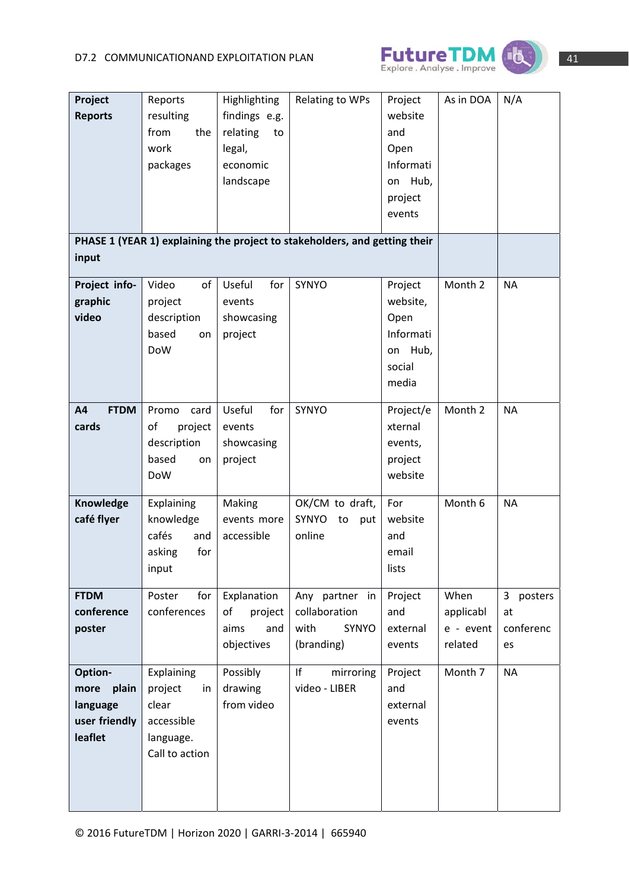

| Project<br><b>Reports</b>                                        | Reports<br>resulting<br>from<br>the<br>work<br>packages                           | Highlighting<br>findings e.g.<br>relating<br>to<br>legal,<br>economic<br>landscape | <b>Relating to WPs</b>                                                     | Project<br>website<br>and<br>Open<br>Informati<br>Hub,<br>on<br>project<br>events | As in DOA                                 | N/A                                |
|------------------------------------------------------------------|-----------------------------------------------------------------------------------|------------------------------------------------------------------------------------|----------------------------------------------------------------------------|-----------------------------------------------------------------------------------|-------------------------------------------|------------------------------------|
| input                                                            |                                                                                   |                                                                                    | PHASE 1 (YEAR 1) explaining the project to stakeholders, and getting their |                                                                                   |                                           |                                    |
| Project info-<br>graphic<br>video                                | Video<br>of<br>project<br>description<br>based<br>on<br><b>DoW</b>                | Useful<br>for<br>events<br>showcasing<br>project                                   | SYNYO                                                                      | Project<br>website,<br>Open<br>Informati<br>Hub,<br>on<br>social<br>media         | Month 2                                   | <b>NA</b>                          |
| <b>FTDM</b><br>A4<br>cards                                       | Promo<br>card<br>of<br>project<br>description<br>based<br>on<br><b>DoW</b>        | Useful<br>for<br>events<br>showcasing<br>project                                   | <b>SYNYO</b>                                                               | Project/e<br>xternal<br>events,<br>project<br>website                             | Month 2                                   | <b>NA</b>                          |
| Knowledge<br>café flyer                                          | Explaining<br>knowledge<br>cafés<br>and<br>for<br>asking<br>input                 | Making<br>events more<br>accessible                                                | OK/CM to draft,<br>SYNYO<br>put<br>to<br>online                            | For<br>website<br>and<br>email<br>lists                                           | Month 6                                   | <b>NA</b>                          |
| <b>FTDM</b><br>conference<br>poster                              | Poster<br>for<br>conferences                                                      | Explanation<br>of<br>project<br>aims<br>and<br>objectives                          | Any partner in<br>collaboration<br>with<br>SYNYO<br>(branding)             | Project<br>and<br>external<br>events                                              | When<br>applicabl<br>e - event<br>related | 3 posters<br>at<br>conferenc<br>es |
| Option-<br>plain<br>more<br>language<br>user friendly<br>leaflet | Explaining<br>project<br>in<br>clear<br>accessible<br>language.<br>Call to action | Possibly<br>drawing<br>from video                                                  | If<br>mirroring<br>video - LIBER                                           | Project<br>and<br>external<br>events                                              | Month 7                                   | <b>NA</b>                          |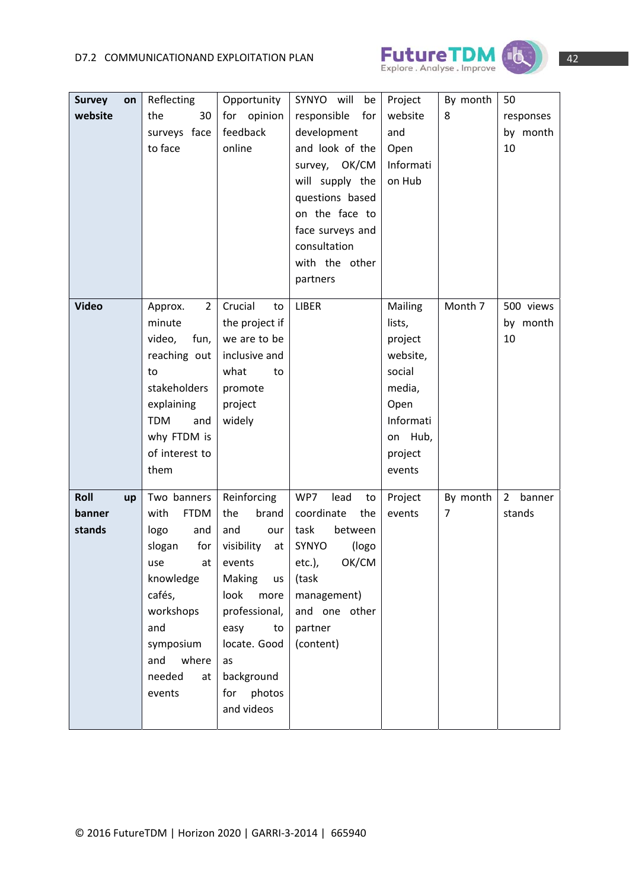



| <b>Survey</b> | on | Reflecting                | Opportunity                 | SYNYO will<br>be                | Project           | By month                   | 50                       |
|---------------|----|---------------------------|-----------------------------|---------------------------------|-------------------|----------------------------|--------------------------|
| website       |    | the<br>30                 | for opinion                 | responsible<br>for              | website           | 8                          | responses                |
|               |    | surveys face              | feedback                    | development                     | and               |                            | by month                 |
|               |    | to face                   | online                      | and look of the                 | Open              |                            | 10                       |
|               |    |                           |                             | survey, OK/CM                   | Informati         |                            |                          |
|               |    |                           |                             | will supply the                 | on Hub            |                            |                          |
|               |    |                           |                             | questions based                 |                   |                            |                          |
|               |    |                           |                             | on the face to                  |                   |                            |                          |
|               |    |                           |                             | face surveys and                |                   |                            |                          |
|               |    |                           |                             | consultation                    |                   |                            |                          |
|               |    |                           |                             | with the other                  |                   |                            |                          |
|               |    |                           |                             | partners                        |                   |                            |                          |
|               |    |                           |                             |                                 |                   |                            |                          |
| <b>Video</b>  |    | $\overline{2}$<br>Approx. | Crucial<br>to               | <b>LIBER</b>                    | Mailing           | Month 7                    | 500 views                |
|               |    | minute                    | the project if              |                                 | lists,            |                            | by month                 |
|               |    | fun,<br>video,            | we are to be                |                                 | project           |                            | 10                       |
|               |    | reaching out              | inclusive and               |                                 | website,          |                            |                          |
|               |    | to                        | what<br>to                  |                                 | social            |                            |                          |
|               |    | stakeholders              | promote                     |                                 | media,            |                            |                          |
|               |    | explaining                | project                     |                                 | Open              |                            |                          |
|               |    | <b>TDM</b><br>and         | widely                      |                                 | Informati         |                            |                          |
|               |    | why FTDM is               |                             |                                 | on Hub,           |                            |                          |
|               |    | of interest to            |                             |                                 | project           |                            |                          |
|               |    | them                      |                             |                                 | events            |                            |                          |
| Roll          |    | Two banners               |                             | WP7                             |                   |                            | $\overline{2}$<br>banner |
| banner        | up | with<br><b>FTDM</b>       | Reinforcing<br>the<br>brand | lead<br>to<br>coordinate<br>the | Project<br>events | By month<br>$\overline{7}$ | stands                   |
| stands        |    | logo<br>and               | and<br>our                  | task<br>between                 |                   |                            |                          |
|               |    | slogan<br>for             | visibility                  | SYNYO                           |                   |                            |                          |
|               |    | use                       | at                          | (logo<br>ОК/СМ                  |                   |                            |                          |
|               |    | knowledge                 | at events<br>Making         | $etc.$ ),<br>(task              |                   |                            |                          |
|               |    | cafés,                    | <b>us</b><br>look more      | management)                     |                   |                            |                          |
|               |    | workshops                 | professional,               | and one other                   |                   |                            |                          |
|               |    |                           |                             |                                 |                   |                            |                          |
|               |    | and                       | easy<br>to                  | partner                         |                   |                            |                          |
|               |    | symposium                 | locate. Good                | (content)                       |                   |                            |                          |
|               |    | where<br>and              | as                          |                                 |                   |                            |                          |
|               |    | needed<br>at              | background                  |                                 |                   |                            |                          |
|               |    | events                    | for photos                  |                                 |                   |                            |                          |
|               |    |                           | and videos                  |                                 |                   |                            |                          |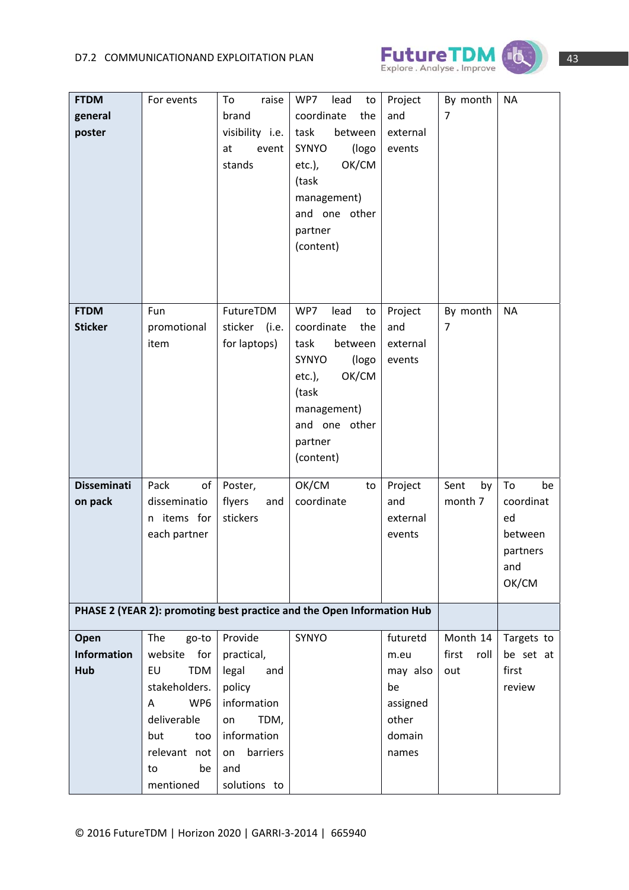

| <b>FTDM</b>        | For events           | raise<br>To     | WP7<br>lead<br>to                                                      | Project  | By month      | <b>NA</b>  |
|--------------------|----------------------|-----------------|------------------------------------------------------------------------|----------|---------------|------------|
|                    |                      |                 |                                                                        |          |               |            |
| general            |                      | brand           | coordinate<br>the                                                      | and      | 7             |            |
| poster             |                      | visibility i.e. | between<br>task                                                        | external |               |            |
|                    |                      | event<br>at     | SYNYO<br>(logo                                                         | events   |               |            |
|                    |                      | stands          | OK/CM<br>$etc.$ ),                                                     |          |               |            |
|                    |                      |                 | (task                                                                  |          |               |            |
|                    |                      |                 | management)                                                            |          |               |            |
|                    |                      |                 | and one other                                                          |          |               |            |
|                    |                      |                 | partner                                                                |          |               |            |
|                    |                      |                 | (content)                                                              |          |               |            |
|                    |                      |                 |                                                                        |          |               |            |
|                    |                      |                 |                                                                        |          |               |            |
|                    |                      |                 |                                                                        |          |               |            |
| <b>FTDM</b>        | Fun                  | FutureTDM       | WP7<br>lead<br>to                                                      | Project  | By month      | <b>NA</b>  |
| <b>Sticker</b>     | promotional          | sticker (i.e.   | coordinate<br>the                                                      | and      | 7             |            |
|                    | item                 | for laptops)    | task<br>between                                                        | external |               |            |
|                    |                      |                 | SYNYO<br>(logo                                                         | events   |               |            |
|                    |                      |                 | OK/CM<br>$etc.$ ),                                                     |          |               |            |
|                    |                      |                 | (task                                                                  |          |               |            |
|                    |                      |                 | management)                                                            |          |               |            |
|                    |                      |                 | and one other                                                          |          |               |            |
|                    |                      |                 | partner                                                                |          |               |            |
|                    |                      |                 | (content)                                                              |          |               |            |
|                    |                      |                 |                                                                        |          |               |            |
| <b>Disseminati</b> | Pack<br>of           | Poster,         | OK/CM<br>to                                                            | Project  | Sent<br>by    | To<br>be   |
| on pack            | disseminatio         | flyers<br>and   | coordinate                                                             | and      | month 7       | coordinat  |
|                    | n items for          | stickers        |                                                                        | external |               | ed         |
|                    | each partner         |                 |                                                                        | events   |               | between    |
|                    |                      |                 |                                                                        |          |               | partners   |
|                    |                      |                 |                                                                        |          |               | and        |
|                    |                      |                 |                                                                        |          |               | OK/CM      |
|                    |                      |                 |                                                                        |          |               |            |
|                    |                      |                 | PHASE 2 (YEAR 2): promoting best practice and the Open Information Hub |          |               |            |
| Open               | The<br>go-to         | Provide         | SYNYO                                                                  | futuretd | Month 14      | Targets to |
| <b>Information</b> | website<br>for       | practical,      |                                                                        | m.eu     | first<br>roll | be set at  |
| Hub                | EU<br>TDM            | legal<br>and    |                                                                        | may also | out           | first      |
|                    | stakeholders.        | policy          |                                                                        | be       |               | review     |
|                    | WP <sub>6</sub><br>A | information     |                                                                        | assigned |               |            |
|                    | deliverable          | TDM,<br>on      |                                                                        | other    |               |            |
|                    | but<br>too           | information     |                                                                        | domain   |               |            |
|                    | relevant not         | barriers<br>on  |                                                                        |          |               |            |
|                    |                      |                 |                                                                        | names    |               |            |
|                    | be<br>to             | and             |                                                                        |          |               |            |
|                    | mentioned            | solutions to    |                                                                        |          |               |            |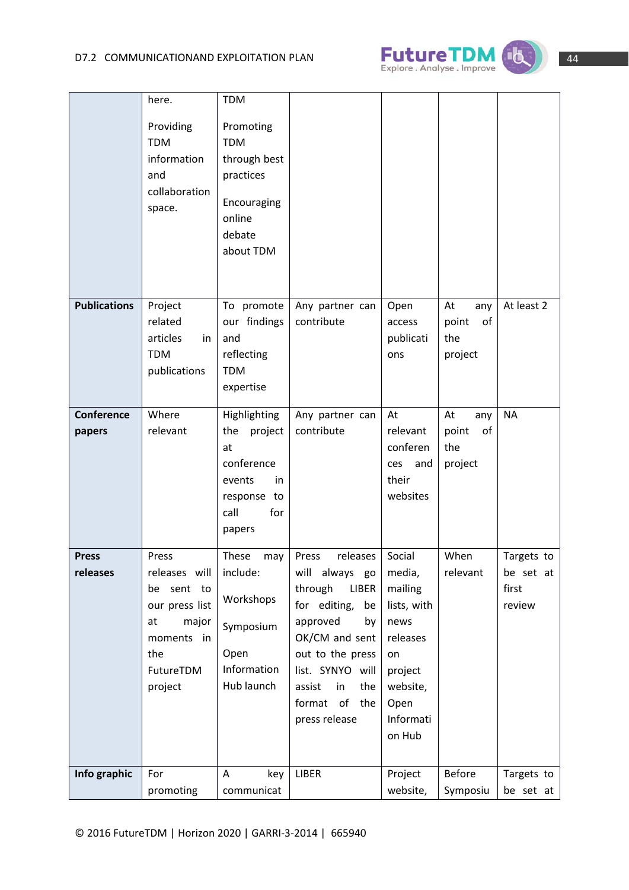

|                             | here.                                                                                                              | <b>TDM</b>                                                                                                  |                                                                                                                                                                                                                       |                                                                                                                            |                                            |                                            |
|-----------------------------|--------------------------------------------------------------------------------------------------------------------|-------------------------------------------------------------------------------------------------------------|-----------------------------------------------------------------------------------------------------------------------------------------------------------------------------------------------------------------------|----------------------------------------------------------------------------------------------------------------------------|--------------------------------------------|--------------------------------------------|
|                             | Providing<br><b>TDM</b><br>information<br>and<br>collaboration<br>space.                                           | Promoting<br><b>TDM</b><br>through best<br>practices<br>Encouraging<br>online<br>debate<br>about TDM        |                                                                                                                                                                                                                       |                                                                                                                            |                                            |                                            |
| <b>Publications</b>         | Project<br>related<br>articles<br>in<br><b>TDM</b><br>publications                                                 | To promote<br>our findings<br>and<br>reflecting<br><b>TDM</b><br>expertise                                  | Any partner can<br>contribute                                                                                                                                                                                         | Open<br>access<br>publicati<br>ons                                                                                         | At<br>any<br>point<br>of<br>the<br>project | At least 2                                 |
| <b>Conference</b><br>papers | Where<br>relevant                                                                                                  | Highlighting<br>the<br>project<br>at<br>conference<br>events<br>in.<br>response to<br>call<br>for<br>papers | Any partner can<br>contribute                                                                                                                                                                                         | At<br>relevant<br>conferen<br>ces<br>and<br>their<br>websites                                                              | At<br>any<br>point<br>of<br>the<br>project | <b>NA</b>                                  |
| <b>Press</b><br>releases    | Press<br>releases will<br>be sent to<br>our press list<br>at<br>major<br>moments in<br>the<br>FutureTDM<br>project | These<br>may<br>include:<br>Workshops<br>Symposium<br>Open<br>Information<br>Hub launch                     | releases<br>Press<br>will always<br>go<br>through<br>LIBER<br>for editing,<br>be<br>approved<br>by<br>OK/CM and sent<br>out to the press<br>list. SYNYO will<br>in<br>assist<br>the<br>format of the<br>press release | Social<br>media,<br>mailing<br>lists, with<br>news<br>releases<br>on<br>project<br>website,<br>Open<br>Informati<br>on Hub | When<br>relevant                           | Targets to<br>be set at<br>first<br>review |
| Info graphic                | For<br>promoting                                                                                                   | A<br>key<br>communicat                                                                                      | LIBER                                                                                                                                                                                                                 | Project<br>website,                                                                                                        | <b>Before</b><br>Symposiu                  | Targets to<br>be set at                    |